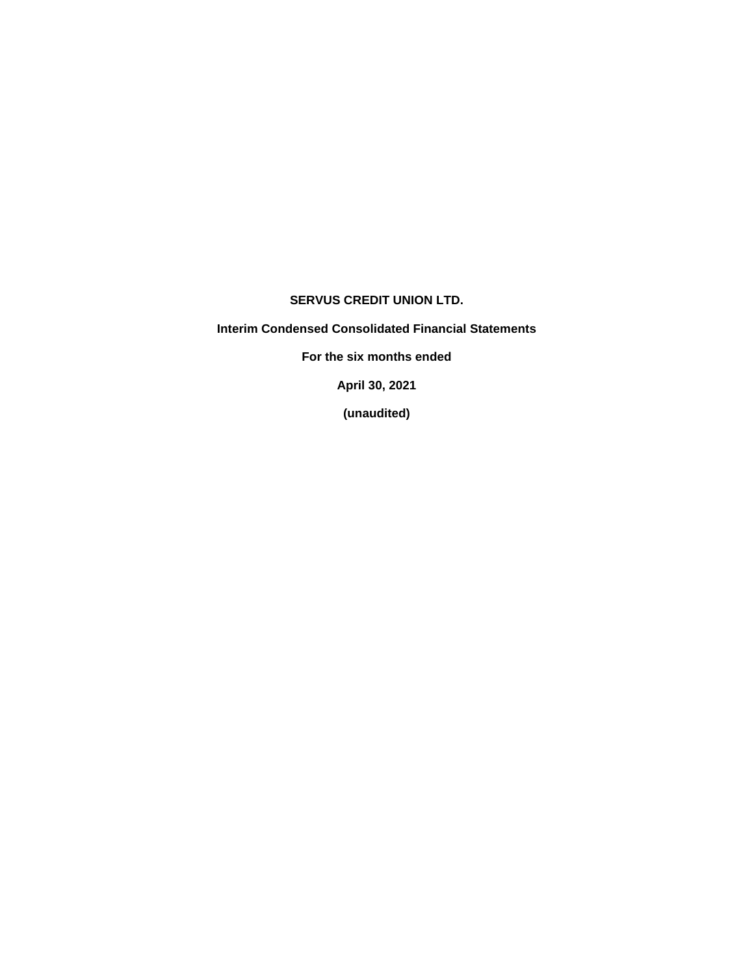### **SERVUS CREDIT UNION LTD.**

**Interim Condensed Consolidated Financial Statements**

**For the six months ended**

**April 30, 2021**

**(unaudited)**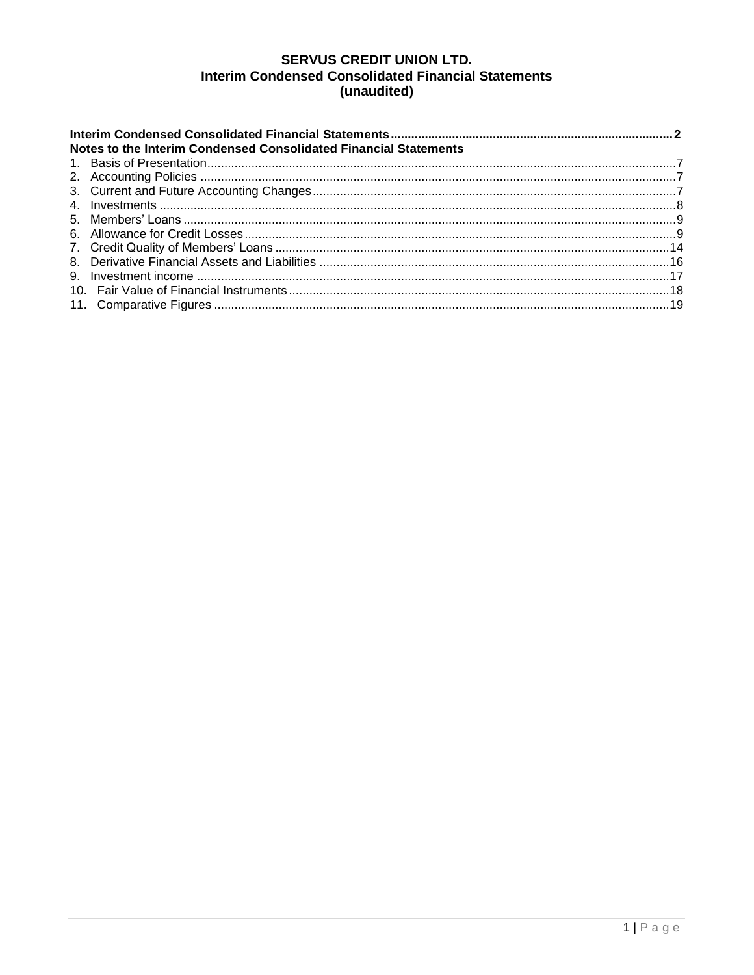# **SERVUS CREDIT UNION LTD. Interim Condensed Consolidated Financial Statements** (unaudited)

| Notes to the Interim Condensed Consolidated Financial Statements |  |
|------------------------------------------------------------------|--|
|                                                                  |  |
|                                                                  |  |
|                                                                  |  |
|                                                                  |  |
|                                                                  |  |
|                                                                  |  |
|                                                                  |  |
|                                                                  |  |
|                                                                  |  |
|                                                                  |  |
|                                                                  |  |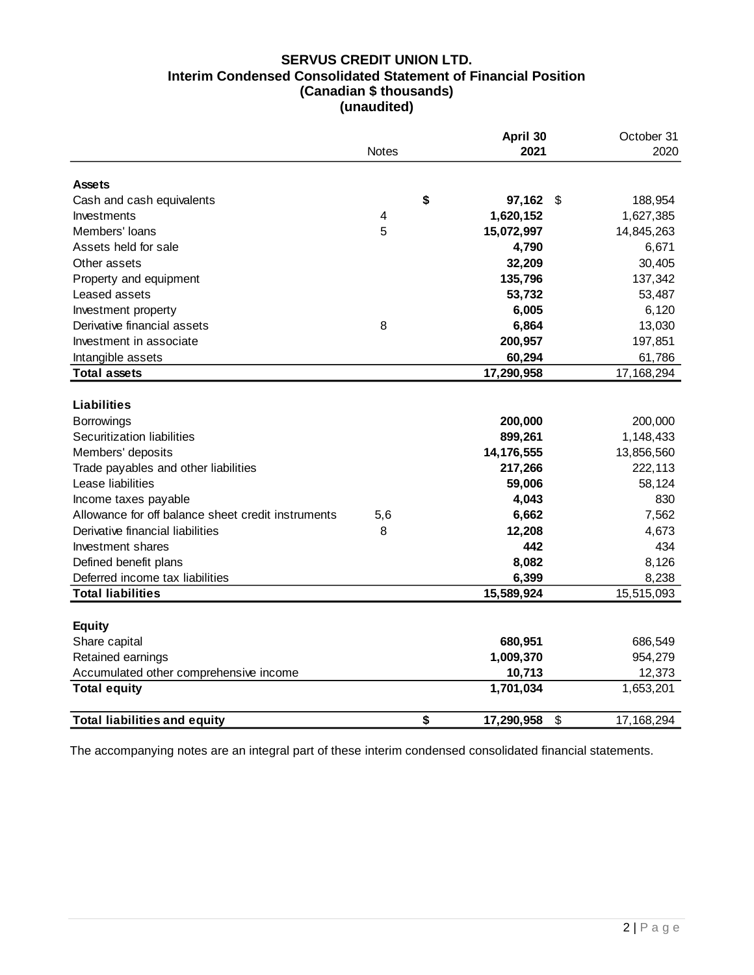## **SERVUS CREDIT UNION LTD. Interim Condensed Consolidated Statement of Financial Position (Canadian \$ thousands) (unaudited)**

|                                                                                                                                                                                                                                                                                                                                                                                        | <b>Notes</b>            | April 30<br>2021                                                                                                         | October 31<br>2020                                                                                                      |
|----------------------------------------------------------------------------------------------------------------------------------------------------------------------------------------------------------------------------------------------------------------------------------------------------------------------------------------------------------------------------------------|-------------------------|--------------------------------------------------------------------------------------------------------------------------|-------------------------------------------------------------------------------------------------------------------------|
| <b>Assets</b>                                                                                                                                                                                                                                                                                                                                                                          |                         |                                                                                                                          |                                                                                                                         |
| Cash and cash equivalents                                                                                                                                                                                                                                                                                                                                                              |                         | \$<br>97,162                                                                                                             | \$<br>188,954                                                                                                           |
| Investments                                                                                                                                                                                                                                                                                                                                                                            | $\overline{\mathbf{4}}$ | 1,620,152                                                                                                                | 1,627,385                                                                                                               |
| Members' loans                                                                                                                                                                                                                                                                                                                                                                         | 5                       | 15,072,997                                                                                                               | 14,845,263                                                                                                              |
| Assets held for sale                                                                                                                                                                                                                                                                                                                                                                   |                         | 4,790                                                                                                                    | 6,671                                                                                                                   |
| Other assets                                                                                                                                                                                                                                                                                                                                                                           |                         | 32,209                                                                                                                   | 30,405                                                                                                                  |
| Property and equipment                                                                                                                                                                                                                                                                                                                                                                 |                         | 135,796                                                                                                                  | 137,342                                                                                                                 |
| Leased assets                                                                                                                                                                                                                                                                                                                                                                          |                         | 53,732                                                                                                                   | 53,487                                                                                                                  |
| Investment property                                                                                                                                                                                                                                                                                                                                                                    |                         | 6,005                                                                                                                    | 6,120                                                                                                                   |
| Derivative financial assets                                                                                                                                                                                                                                                                                                                                                            | 8                       | 6,864                                                                                                                    | 13,030                                                                                                                  |
| Investment in associate                                                                                                                                                                                                                                                                                                                                                                |                         | 200,957                                                                                                                  | 197,851                                                                                                                 |
| Intangible assets                                                                                                                                                                                                                                                                                                                                                                      |                         | 60,294                                                                                                                   | 61,786                                                                                                                  |
| <b>Total assets</b>                                                                                                                                                                                                                                                                                                                                                                    |                         | 17,290,958                                                                                                               | 17,168,294                                                                                                              |
| <b>Liabilities</b><br><b>Borrowings</b><br>Securitization liabilities<br>Members' deposits<br>Trade payables and other liabilities<br>Lease liabilities<br>Income taxes payable<br>Allowance for off balance sheet credit instruments<br>Derivative financial liabilities<br>Investment shares<br>Defined benefit plans<br>Deferred income tax liabilities<br><b>Total liabilities</b> | 5,6<br>8                | 200,000<br>899,261<br>14,176,555<br>217,266<br>59,006<br>4,043<br>6,662<br>12,208<br>442<br>8,082<br>6,399<br>15,589,924 | 200,000<br>1,148,433<br>13,856,560<br>222,113<br>58,124<br>830<br>7,562<br>4,673<br>434<br>8,126<br>8,238<br>15,515,093 |
|                                                                                                                                                                                                                                                                                                                                                                                        |                         |                                                                                                                          |                                                                                                                         |
| <b>Equity</b>                                                                                                                                                                                                                                                                                                                                                                          |                         |                                                                                                                          |                                                                                                                         |
| Share capital                                                                                                                                                                                                                                                                                                                                                                          |                         | 680,951                                                                                                                  | 686,549                                                                                                                 |
| Retained earnings                                                                                                                                                                                                                                                                                                                                                                      |                         | 1,009,370                                                                                                                | 954,279                                                                                                                 |
| Accumulated other comprehensive income                                                                                                                                                                                                                                                                                                                                                 |                         | 10,713                                                                                                                   | 12,373                                                                                                                  |
| <b>Total equity</b>                                                                                                                                                                                                                                                                                                                                                                    |                         | 1,701,034                                                                                                                | 1,653,201                                                                                                               |
| <b>Total liabilities and equity</b>                                                                                                                                                                                                                                                                                                                                                    |                         | \$<br>17,290,958                                                                                                         | \$<br>17,168,294                                                                                                        |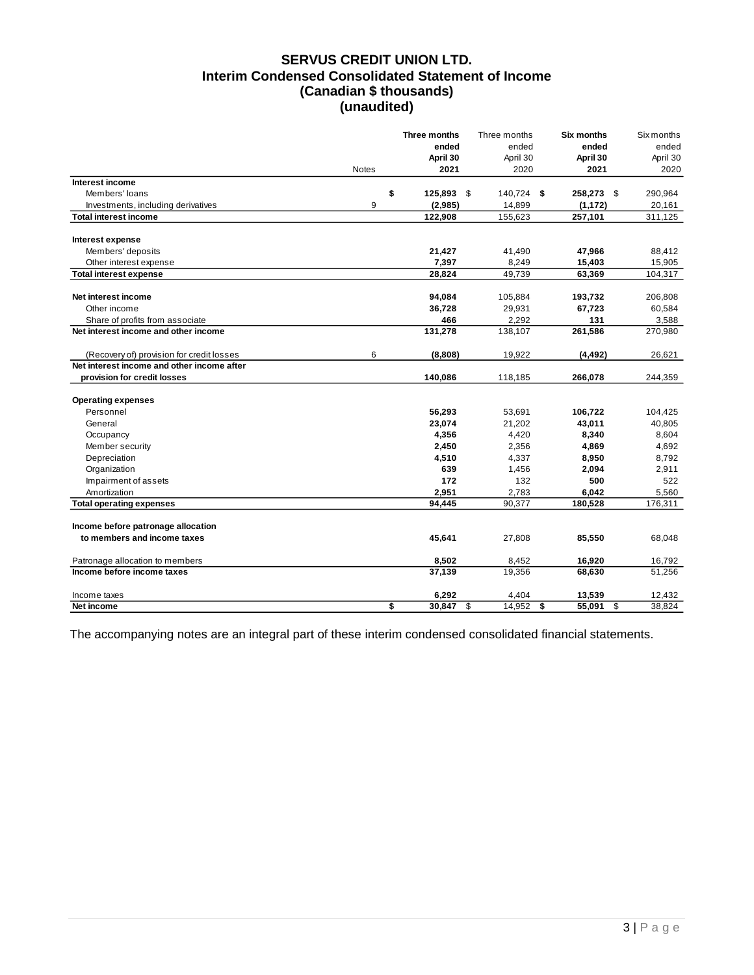# **SERVUS CREDIT UNION LTD. Interim Condensed Consolidated Statement of Income (Canadian \$ thousands) (unaudited)**

|                                            |              | Three months | Three months | Six months         | Six months |
|--------------------------------------------|--------------|--------------|--------------|--------------------|------------|
|                                            |              | ended        | ended        | ended              | ended      |
|                                            |              | April 30     | April 30     | April 30           | April 30   |
|                                            | <b>Notes</b> | 2021         | 2020         | 2021               | 2020       |
| Interest income                            |              |              |              |                    |            |
| Members' loans                             | \$           | 125,893 \$   | 140,724 \$   | 258,273 \$         | 290,964    |
| Investments, including derivatives         | 9            | (2,985)      | 14,899       | (1, 172)           | 20,161     |
| <b>Total interest income</b>               |              | 122,908      | 155,623      | 257,101            | 311,125    |
| Interest expense                           |              |              |              |                    |            |
| Members' deposits                          |              | 21,427       | 41,490       | 47,966             | 88,412     |
| Other interest expense                     |              | 7,397        | 8,249        | 15,403             | 15,905     |
| <b>Total interest expense</b>              |              | 28,824       | 49,739       | 63,369             | 104,317    |
| Net interest income                        |              | 94,084       | 105,884      | 193,732            | 206,808    |
| Other income                               |              | 36,728       | 29,931       | 67,723             | 60,584     |
| Share of profits from associate            |              | 466          | 2,292        | 131                | 3,588      |
| Net interest income and other income       |              | 131,278      | 138,107      | 261,586            | 270,980    |
| (Recovery of) provision for credit losses  | 6            | (8,808)      | 19,922       | (4, 492)           | 26,621     |
| Net interest income and other income after |              |              |              |                    |            |
| provision for credit losses                |              | 140,086      | 118,185      | 266,078            | 244,359    |
| <b>Operating expenses</b>                  |              |              |              |                    |            |
| Personnel                                  |              | 56,293       | 53,691       | 106,722            | 104,425    |
| General                                    |              | 23,074       | 21,202       | 43,011             | 40,805     |
| Occupancy                                  |              | 4,356        | 4,420        | 8,340              | 8,604      |
| Member security                            |              | 2,450        | 2,356        | 4,869              | 4,692      |
| Depreciation                               |              | 4,510        | 4,337        | 8,950              | 8,792      |
| Organization                               |              | 639          | 1,456        | 2,094              | 2,911      |
| Impairment of assets                       |              | 172          | 132          | 500                | 522        |
| Amortization                               |              | 2,951        | 2,783        | 6,042              | 5,560      |
| <b>Total operating expenses</b>            |              | 94,445       | 90,377       | 180,528            | 176,311    |
| Income before patronage allocation         |              |              |              |                    |            |
| to members and income taxes                |              | 45,641       | 27,808       | 85,550             | 68,048     |
|                                            |              |              |              |                    |            |
| Patronage allocation to members            |              | 8,502        | 8,452        | 16,920             | 16,792     |
| Income before income taxes                 |              | 37,139       | 19,356       | 68,630             | 51,256     |
| Income taxes                               |              | 6,292        | 4,404        | 13,539             | 12,432     |
| Net income                                 | \$           | 30,847       | \$<br>14,952 | \$<br>55,091<br>\$ | 38,824     |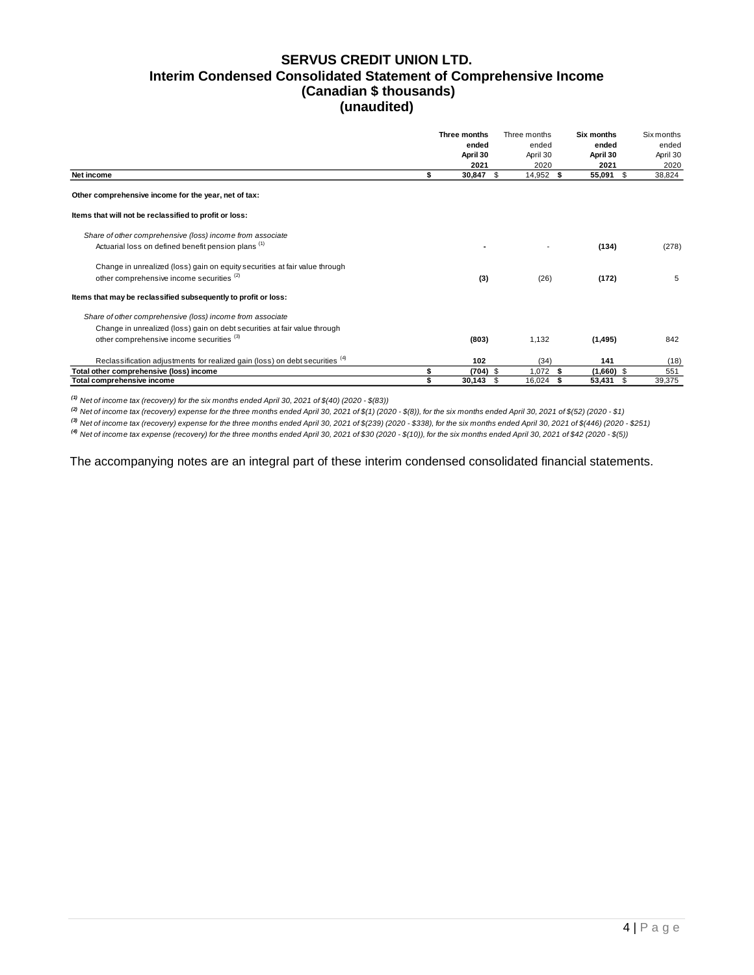### **SERVUS CREDIT UNION LTD. Interim Condensed Consolidated Statement of Comprehensive Income (Canadian \$ thousands) (unaudited)**

|                                                                              | Three months         | Three months | Six months     | <b>Six months</b> |
|------------------------------------------------------------------------------|----------------------|--------------|----------------|-------------------|
|                                                                              | ended                | ended        | ended          | ended             |
|                                                                              | April 30             | April 30     | April 30       | April 30          |
|                                                                              | 2021                 | 2020         | 2021           | 2020              |
| Net income                                                                   | \$<br>30,847<br>-S   | 14,952 \$    | 55,091         | 38,824<br>\$      |
| Other comprehensive income for the year, net of tax:                         |                      |              |                |                   |
| Items that will not be reclassified to profit or loss:                       |                      |              |                |                   |
| Share of other comprehensive (loss) income from associate                    |                      |              |                |                   |
| Actuarial loss on defined benefit pension plans <sup>(1)</sup>               |                      |              | (134)          | (278)             |
| Change in unrealized (loss) gain on equity securities at fair value through  |                      |              |                |                   |
| other comprehensive income securities <sup>(2)</sup>                         | (3)                  | (26)         | (172)          | 5                 |
| Items that may be reclassified subsequently to profit or loss:               |                      |              |                |                   |
| Share of other comprehensive (loss) income from associate                    |                      |              |                |                   |
| Change in unrealized (loss) gain on debt securities at fair value through    |                      |              |                |                   |
| other comprehensive income securities <sup>(3)</sup>                         | (803)                | 1,132        | (1, 495)       | 842               |
| Reclassification adjustments for realized gain (loss) on debt securities (4) | 102                  | (34)         | 141            | (18)              |
| Total other comprehensive (loss) income                                      | \$<br>$(704)$ \$     | $1,072$ \$   | $(1,660)$ \$   | 551               |
| Total comprehensive income                                                   | \$<br>30,143<br>- \$ | 16,024       | 53,431<br>- \$ | 39,375<br>- \$    |

*(1) Net of income tax (recovery) for the six months ended April 30, 2021 of \$(40) (2020 - \$(83))*

*(2) Net of income tax (recovery) expense for the three months ended April 30, 2021 of \$(1) (2020 - \$(8)), for the six months ended April 30, 2021 of \$(52) (2020 - \$1)*

*(3) Net of income tax (recovery) expense for the three months ended April 30, 2021 of \$(239) (2020 - \$338), for the six months ended April 30, 2021 of \$(446) (2020 - \$251)*

*(4) Net of income tax expense (recovery) for the three months ended April 30, 2021 of \$30 (2020 - \$(10)), for the six months ended April 30, 2021 of \$42 (2020 - \$(5))*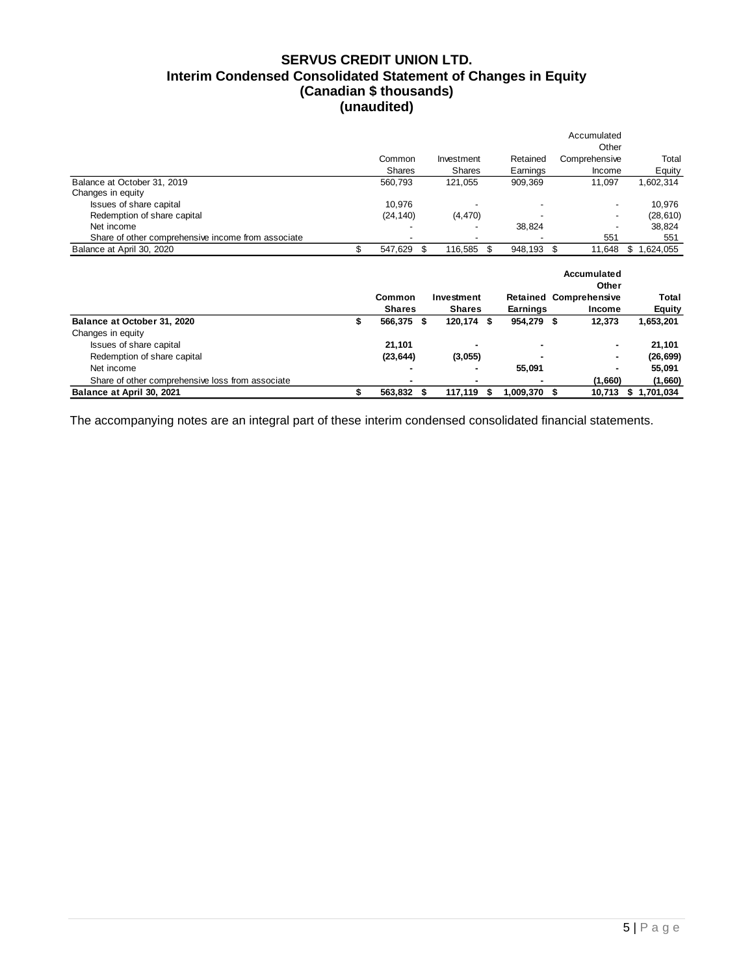# **SERVUS CREDIT UNION LTD. Interim Condensed Consolidated Statement of Changes in Equity (Canadian \$ thousands) (unaudited)**

|                                                    |               |                  |                 | Accumulated                   |                 |
|----------------------------------------------------|---------------|------------------|-----------------|-------------------------------|-----------------|
|                                                    |               |                  |                 | Other                         |                 |
|                                                    | Common        | Investment       | Retained        | Comprehensive                 | Total           |
|                                                    | Shares        | <b>Shares</b>    | Earnings        | Income                        | Equity          |
| Balance at October 31, 2019                        | 560,793       | 121,055          | 909,369         | 11,097                        | 1,602,314       |
| Changes in equity                                  |               |                  |                 |                               |                 |
| Issues of share capital                            | 10,976        |                  |                 |                               | 10,976          |
| Redemption of share capital                        | (24, 140)     | (4, 470)         |                 |                               | (28, 610)       |
| Net income                                         |               |                  | 38,824          |                               | 38,824          |
| Share of other comprehensive income from associate |               |                  |                 | 551                           | 551             |
| Balance at April 30, 2020                          | \$<br>547,629 | \$<br>116,585    | \$<br>948,193   | \$<br>11,648                  | 1,624,055<br>\$ |
|                                                    |               |                  |                 |                               |                 |
|                                                    |               |                  |                 | Accumulated<br>Other          |                 |
|                                                    | Common        | Investment       |                 | <b>Retained Comprehensive</b> | Total           |
|                                                    | <b>Shares</b> | <b>Shares</b>    | <b>Earnings</b> | <b>Income</b>                 | <b>Equity</b>   |
| Balance at October 31, 2020                        | \$<br>566,375 | \$<br>120,174 \$ | 954,279 \$      | 12,373                        | 1,653,201       |
| Changes in equity                                  |               |                  |                 |                               |                 |
| Issues of share capital                            | 21,101        |                  |                 |                               | 21,101          |
| Redemption of share capital                        | (23, 644)     | (3,055)          |                 |                               | (26, 699)       |
| Net income                                         |               |                  | 55,091          |                               | 55,091          |
| Share of other comprehensive loss from associate   |               |                  |                 | (1,660)                       | (1,660)         |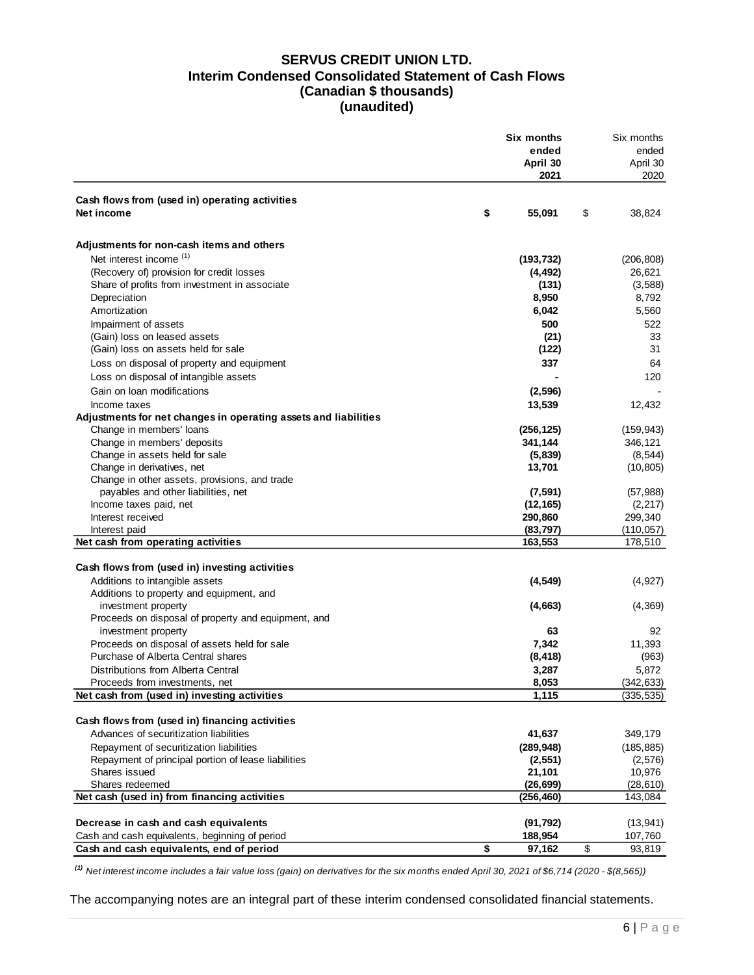### **SERVUS CREDIT UNION LTD. Interim Condensed Consolidated Statement of Cash Flows (Canadian \$ thousands) (unaudited)**

|                                                                                             | Six months            | Six months            |
|---------------------------------------------------------------------------------------------|-----------------------|-----------------------|
|                                                                                             | ended                 | ended                 |
|                                                                                             | April 30              | April 30              |
|                                                                                             | 2021                  | 2020                  |
| Cash flows from (used in) operating activities                                              |                       |                       |
| Net income                                                                                  | \$<br>55,091          | \$<br>38,824          |
| Adjustments for non-cash items and others                                                   |                       |                       |
| Net interest income (1)                                                                     | (193, 732)            | (206, 808)            |
| (Recovery of) provision for credit losses                                                   | (4, 492)              | 26,621                |
| Share of profits from investment in associate                                               | (131)                 | (3,588)               |
| Depreciation                                                                                | 8,950                 | 8,792                 |
| Amortization                                                                                | 6,042                 | 5,560                 |
| Impairment of assets                                                                        | 500                   | 522                   |
| (Gain) loss on leased assets                                                                | (21)                  | 33                    |
| (Gain) loss on assets held for sale                                                         | (122)                 | 31                    |
| Loss on disposal of property and equipment                                                  | 337                   | 64                    |
| Loss on disposal of intangible assets                                                       |                       | 120                   |
| Gain on loan modifications                                                                  | (2, 596)              |                       |
|                                                                                             |                       |                       |
| Income taxes                                                                                | 13,539                | 12,432                |
| Adjustments for net changes in operating assets and liabilities<br>Change in members' loans |                       |                       |
|                                                                                             | (256, 125)<br>341,144 | (159, 943)<br>346,121 |
| Change in members' deposits<br>Change in assets held for sale                               | (5,839)               | (8, 544)              |
| Change in derivatives, net                                                                  | 13,701                | (10, 805)             |
| Change in other assets, provisions, and trade                                               |                       |                       |
| payables and other liabilities, net                                                         | (7, 591)              | (57, 988)             |
| Income taxes paid, net                                                                      | (12, 165)             | (2, 217)              |
| Interest received                                                                           | 290,860               | 299,340               |
| Interest paid                                                                               | (83, 797)             | (110, 057)            |
| Net cash from operating activities                                                          | 163,553               | 178,510               |
|                                                                                             |                       |                       |
| Cash flows from (used in) investing activities                                              |                       |                       |
| Additions to intangible assets                                                              | (4, 549)              | (4, 927)              |
| Additions to property and equipment, and                                                    |                       |                       |
| investment property                                                                         | (4,663)               | (4, 369)              |
| Proceeds on disposal of property and equipment, and                                         |                       |                       |
| investment property                                                                         | 63                    | 92                    |
| Proceeds on disposal of assets held for sale                                                | 7,342                 | 11,393                |
| Purchase of Alberta Central shares                                                          | (8, 418)              | (963)                 |
| Distributions from Alberta Central                                                          | 3,287                 | 5,872                 |
| Proceeds from investments, net                                                              | 8,053                 | (342, 633)            |
| Net cash from (used in) investing activities                                                | 1,115                 | (335, 535)            |
|                                                                                             |                       |                       |
| Cash flows from (used in) financing activities                                              |                       |                       |
| Advances of securitization liabilities                                                      | 41,637                | 349,179               |
| Repayment of securitization liabilities                                                     | (289, 948)            | (185, 885)            |
| Repayment of principal portion of lease liabilities                                         | (2,551)               | (2, 576)              |
| Shares issued                                                                               | 21,101                | 10,976                |
| Shares redeemed                                                                             | (26, 699)             | (28, 610)             |
| Net cash (used in) from financing activities                                                | (256, 460)            | 143,084               |
|                                                                                             |                       |                       |
| Decrease in cash and cash equivalents                                                       | (91, 792)             | (13, 941)             |
| Cash and cash equivalents, beginning of period                                              | 188,954               | 107,760               |
| Cash and cash equivalents, end of period                                                    | \$<br>97,162          | \$<br>93,819          |

*(1) Net interest income includes a fair value loss (gain) on derivatives for the six months ended April 30, 2021 of \$6,714 (2020 - \$(8,565))*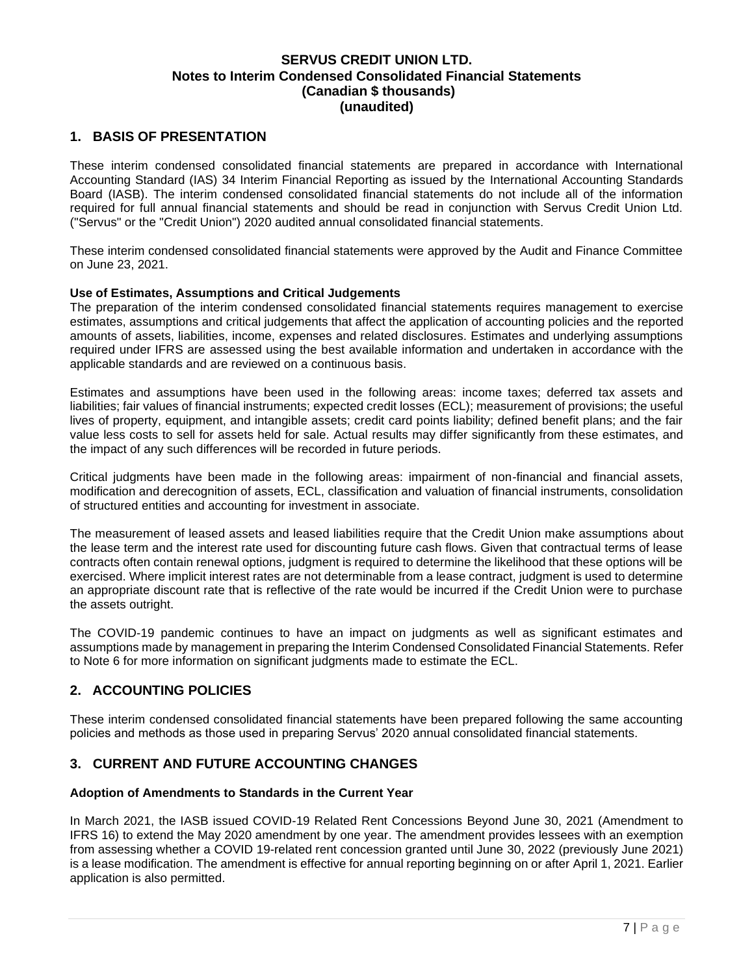### <span id="page-7-0"></span>**1. BASIS OF PRESENTATION**

These interim condensed consolidated financial statements are prepared in accordance with International Accounting Standard (IAS) 34 Interim Financial Reporting as issued by the International Accounting Standards Board (IASB). The interim condensed consolidated financial statements do not include all of the information required for full annual financial statements and should be read in conjunction with Servus Credit Union Ltd. ("Servus" or the "Credit Union") 2020 audited annual consolidated financial statements.

These interim condensed consolidated financial statements were approved by the Audit and Finance Committee on June 23, 2021.

### **Use of Estimates, Assumptions and Critical Judgements**

The preparation of the interim condensed consolidated financial statements requires management to exercise estimates, assumptions and critical judgements that affect the application of accounting policies and the reported amounts of assets, liabilities, income, expenses and related disclosures. Estimates and underlying assumptions required under IFRS are assessed using the best available information and undertaken in accordance with the applicable standards and are reviewed on a continuous basis.

Estimates and assumptions have been used in the following areas: income taxes; deferred tax assets and liabilities; fair values of financial instruments; expected credit losses (ECL); measurement of provisions; the useful lives of property, equipment, and intangible assets; credit card points liability; defined benefit plans; and the fair value less costs to sell for assets held for sale. Actual results may differ significantly from these estimates, and the impact of any such differences will be recorded in future periods.

Critical judgments have been made in the following areas: impairment of non-financial and financial assets, modification and derecognition of assets, ECL, classification and valuation of financial instruments, consolidation of structured entities and accounting for investment in associate.

The measurement of leased assets and leased liabilities require that the Credit Union make assumptions about the lease term and the interest rate used for discounting future cash flows. Given that contractual terms of lease contracts often contain renewal options, judgment is required to determine the likelihood that these options will be exercised. Where implicit interest rates are not determinable from a lease contract, judgment is used to determine an appropriate discount rate that is reflective of the rate would be incurred if the Credit Union were to purchase the assets outright.

The COVID-19 pandemic continues to have an impact on judgments as well as significant estimates and assumptions made by management in preparing the Interim Condensed Consolidated Financial Statements. Refer to Note 6 for more information on significant judgments made to estimate the ECL.

## <span id="page-7-1"></span>**2. ACCOUNTING POLICIES**

These interim condensed consolidated financial statements have been prepared following the same accounting policies and methods as those used in preparing Servus' 2020 annual consolidated financial statements.

## <span id="page-7-2"></span>**3. CURRENT AND FUTURE ACCOUNTING CHANGES**

### **Adoption of Amendments to Standards in the Current Year**

In March 2021, the IASB issued COVID-19 Related Rent Concessions Beyond June 30, 2021 (Amendment to IFRS 16) to extend the May 2020 amendment by one year. The amendment provides lessees with an exemption from assessing whether a COVID 19-related rent concession granted until June 30, 2022 (previously June 2021) is a lease modification. The amendment is effective for annual reporting beginning on or after April 1, 2021. Earlier application is also permitted.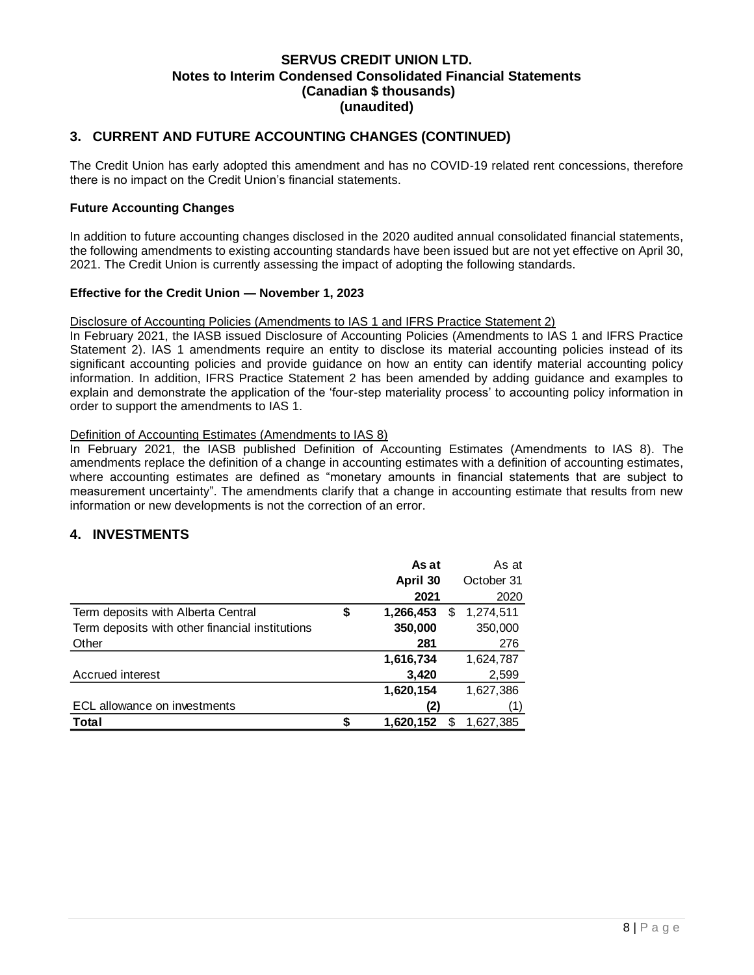## **3. CURRENT AND FUTURE ACCOUNTING CHANGES (CONTINUED)**

The Credit Union has early adopted this amendment and has no COVID-19 related rent concessions, therefore there is no impact on the Credit Union's financial statements.

### **Future Accounting Changes**

In addition to future accounting changes disclosed in the 2020 audited annual consolidated financial statements, the following amendments to existing accounting standards have been issued but are not yet effective on April 30, 2021. The Credit Union is currently assessing the impact of adopting the following standards.

### **Effective for the Credit Union — November 1, 2023**

### Disclosure of Accounting Policies (Amendments to IAS 1 and IFRS Practice Statement 2)

In February 2021, the IASB issued Disclosure of Accounting Policies (Amendments to IAS 1 and IFRS Practice Statement 2). IAS 1 amendments require an entity to disclose its material accounting policies instead of its significant accounting policies and provide guidance on how an entity can identify material accounting policy information. In addition, IFRS Practice Statement 2 has been amended by adding guidance and examples to explain and demonstrate the application of the 'four-step materiality process' to accounting policy information in order to support the amendments to IAS 1.

### Definition of Accounting Estimates (Amendments to IAS 8)

In February 2021, the IASB published Definition of Accounting Estimates (Amendments to IAS 8). The amendments replace the definition of a change in accounting estimates with a definition of accounting estimates, where accounting estimates are defined as "monetary amounts in financial statements that are subject to measurement uncertainty". The amendments clarify that a change in accounting estimate that results from new information or new developments is not the correction of an error.

### <span id="page-8-0"></span>**4. INVESTMENTS**

|                                                 | As at                | As at      |
|-------------------------------------------------|----------------------|------------|
|                                                 | April 30             | October 31 |
|                                                 | 2021                 | 2020       |
| Term deposits with Alberta Central              | \$<br>1,266,453<br>S | 1,274,511  |
| Term deposits with other financial institutions | 350,000              | 350,000    |
| Other                                           | 281                  | 276        |
|                                                 | 1,616,734            | 1,624,787  |
| Accrued interest                                | 3,420                | 2,599      |
|                                                 | 1,620,154            | 1,627,386  |
| ECL allowance on investments                    | '2)                  | (1)        |
| Total                                           | 1,620,152<br>S       | 1,627,385  |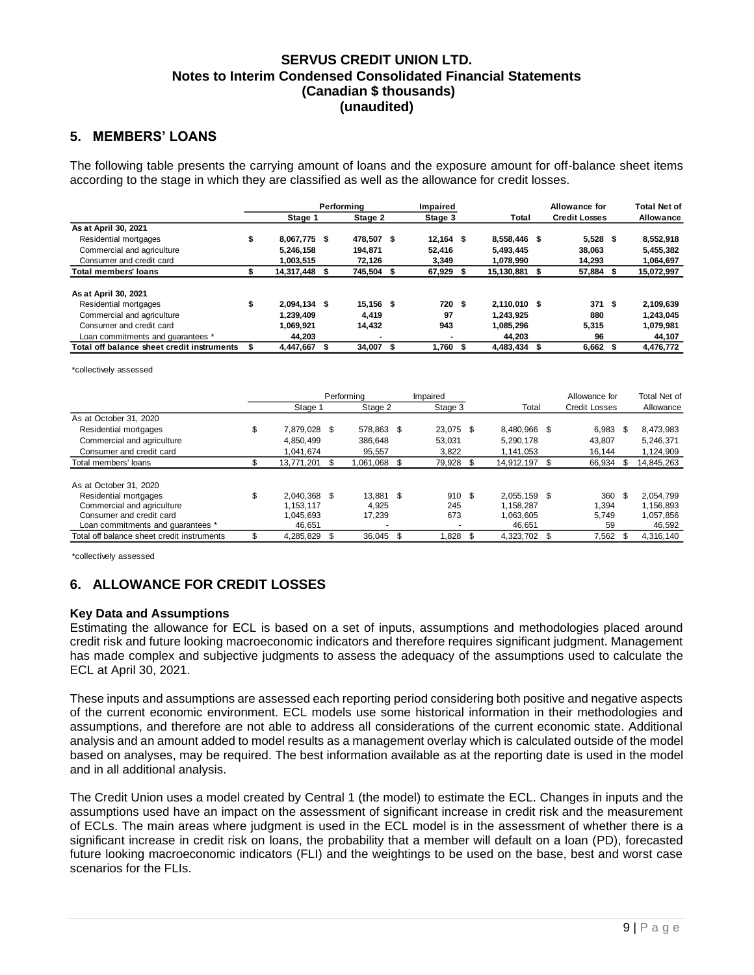### <span id="page-9-0"></span>**5. MEMBERS' LOANS**

The following table presents the carrying amount of loans and the exposure amount for off-balance sheet items according to the stage in which they are classified as well as the allowance for credit losses.

|                                            |                      | Performina  |      | Impaired    |  |              |  | <b>Allowance for</b> | <b>Total Net of</b> |            |
|--------------------------------------------|----------------------|-------------|------|-------------|--|--------------|--|----------------------|---------------------|------------|
|                                            | Stage 1              | Stage 2     |      | Stage 3     |  | Total        |  | <b>Credit Losses</b> |                     | Allowance  |
| As at April 30, 2021                       |                      |             |      |             |  |              |  |                      |                     |            |
| Residential mortgages                      | 8.067.775 \$         | 478.507     | - \$ | $12,164$ \$ |  | 8.558.446 \$ |  | $5,528$ \$           |                     | 8,552,918  |
| Commercial and agriculture                 | 5.246.158            | 194.871     |      | 52.416      |  | 5.493.445    |  | 38.063               |                     | 5,455,382  |
| Consumer and credit card                   | 1.003.515            | 72.126      |      | 3.349       |  | 1.078.990    |  | 14.293               |                     | 1,064,697  |
| <b>Total members' loans</b>                | 14,317,448           | 745,504     | Я.   | 67,929      |  | 15,130,881   |  | 57,884               |                     | 15,072,997 |
|                                            |                      |             |      |             |  |              |  |                      |                     |            |
| As at April 30, 2021                       |                      |             |      |             |  |              |  |                      |                     |            |
| Residential mortgages                      | \$<br>$2.094.134$ \$ | $15.156$ \$ |      | 720 \$      |  | 2.110.010 \$ |  | 371                  | \$                  | 2,109,639  |
| Commercial and agriculture                 | 1.239.409            | 4.419       |      | 97          |  | 1.243.925    |  | 880                  |                     | 1.243.045  |
| Consumer and credit card                   | 1.069.921            | 14.432      |      | 943         |  | 1,085,296    |  | 5,315                |                     | 1,079,981  |
| Loan commitments and quarantees *          | 44.203               |             |      |             |  | 44.203       |  | 96                   |                     | 44,107     |
| Total off balance sheet credit instruments | 4.447.667            | 34.007      | S    | l.760 \$    |  | 4.483.434    |  | 6,662                | S                   | 4.476.772  |

\*collectively assessed

|                                            |                     | Performing<br>Impaired |            |     |           |                 |    | Allowance for        |     | Total Net of |
|--------------------------------------------|---------------------|------------------------|------------|-----|-----------|-----------------|----|----------------------|-----|--------------|
|                                            | Stage 1             |                        | Stage 2    |     | Stage 3   | Total           |    | <b>Credit Losses</b> |     | Allowance    |
| As at October 31, 2020                     |                     |                        |            |     |           |                 |    |                      |     |              |
| Residential mortgages                      | \$<br>7,879,028 \$  |                        | 578.863 \$ |     | 23,075 \$ | 8,480,966 \$    |    | 6,983                | -\$ | 8,473,983    |
| Commercial and agriculture                 | 4.850.499           |                        | 386.648    |     | 53.031    | 5,290,178       |    | 43.807               |     | 5,246,371    |
| Consumer and credit card                   | 1.041.674           |                        | 95.557     |     | 3.822     | 1.141.053       |    | 16.144               |     | 1,124,909    |
| Total members' loans                       | \$<br>13.771.201 \$ |                        | 1.061.068  | \$. | 79,928 \$ | 14.912.197      | S  | 66.934               | -S  | 14,845,263   |
|                                            |                     |                        |            |     |           |                 |    |                      |     |              |
| As at October 31, 2020                     |                     |                        |            |     |           |                 |    |                      |     |              |
| Residential mortgages                      | \$<br>2.040.368 \$  |                        | 13,881 \$  |     | 910S      | 2.055.159 \$    |    | 360                  | -\$ | 2.054.799    |
| Commercial and agriculture                 | 1.153.117           |                        | 4.925      |     | 245       | 1.158.287       |    | 1.394                |     | 1.156.893    |
| Consumer and credit card                   | 1.045.693           |                        | 17.239     |     | 673       | 1,063,605       |    | 5.749                |     | 1,057,856    |
| Loan commitments and quarantees *          | 46.651              |                        |            |     | ۰         | 46.651          |    | 59                   |     | 46,592       |
| Total off balance sheet credit instruments | \$<br>4,285,829     |                        | 36.045     | S   | 1.828     | \$<br>4.323.702 | \$ | 7.562                |     | 4,316,140    |

\*collectively assessed

## <span id="page-9-1"></span>**6. ALLOWANCE FOR CREDIT LOSSES**

### **Key Data and Assumptions**

Estimating the allowance for ECL is based on a set of inputs, assumptions and methodologies placed around credit risk and future looking macroeconomic indicators and therefore requires significant judgment. Management has made complex and subjective judgments to assess the adequacy of the assumptions used to calculate the ECL at April 30, 2021.

These inputs and assumptions are assessed each reporting period considering both positive and negative aspects of the current economic environment. ECL models use some historical information in their methodologies and assumptions, and therefore are not able to address all considerations of the current economic state. Additional analysis and an amount added to model results as a management overlay which is calculated outside of the model based on analyses, may be required. The best information available as at the reporting date is used in the model and in all additional analysis.

The Credit Union uses a model created by Central 1 (the model) to estimate the ECL. Changes in inputs and the assumptions used have an impact on the assessment of significant increase in credit risk and the measurement of ECLs. The main areas where judgment is used in the ECL model is in the assessment of whether there is a significant increase in credit risk on loans, the probability that a member will default on a loan (PD), forecasted future looking macroeconomic indicators (FLI) and the weightings to be used on the base, best and worst case scenarios for the FLIs.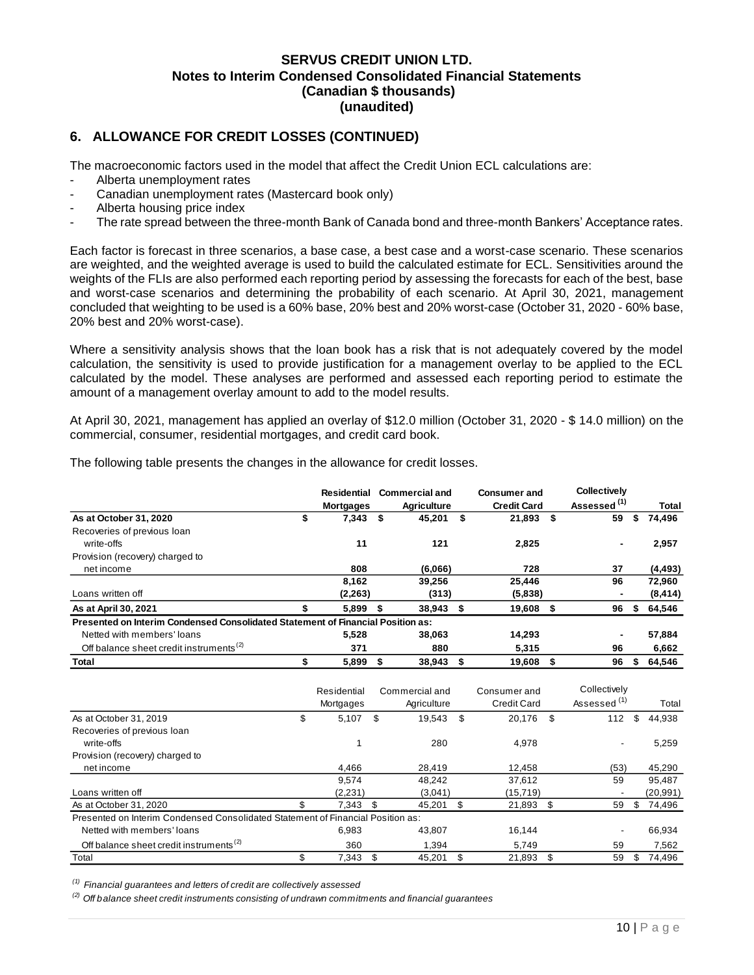## **6. ALLOWANCE FOR CREDIT LOSSES (CONTINUED)**

The macroeconomic factors used in the model that affect the Credit Union ECL calculations are:

- Alberta unemployment rates
- Canadian unemployment rates (Mastercard book only)
- Alberta housing price index
- The rate spread between the three-month Bank of Canada bond and three-month Bankers' Acceptance rates.

Each factor is forecast in three scenarios, a base case, a best case and a worst-case scenario. These scenarios are weighted, and the weighted average is used to build the calculated estimate for ECL. Sensitivities around the weights of the FLIs are also performed each reporting period by assessing the forecasts for each of the best, base and worst-case scenarios and determining the probability of each scenario. At April 30, 2021, management concluded that weighting to be used is a 60% base, 20% best and 20% worst-case (October 31, 2020 - 60% base, 20% best and 20% worst-case).

Where a sensitivity analysis shows that the loan book has a risk that is not adequately covered by the model calculation, the sensitivity is used to provide justification for a management overlay to be applied to the ECL calculated by the model. These analyses are performed and assessed each reporting period to estimate the amount of a management overlay amount to add to the model results.

At April 30, 2021, management has applied an overlay of \$12.0 million (October 31, 2020 - \$ 14.0 million) on the commercial, consumer, residential mortgages, and credit card book.

The following table presents the changes in the allowance for credit losses.

|                                                                                 | Residential<br><b>Mortgages</b> |      | <b>Commercial and</b><br><b>Agriculture</b> |      | <b>Consumer and</b><br><b>Credit Card</b> | <b>Collectively</b><br>Assessed <sup>(1)</sup> |    | <b>Total</b> |
|---------------------------------------------------------------------------------|---------------------------------|------|---------------------------------------------|------|-------------------------------------------|------------------------------------------------|----|--------------|
| As at October 31, 2020                                                          | \$<br>7,343                     | \$   | 45,201                                      | \$   | $21,893$ \$                               | 59                                             | S  | 74,496       |
| Recoveries of previous loan                                                     |                                 |      |                                             |      |                                           |                                                |    |              |
| write-offs                                                                      | 11                              |      | 121                                         |      | 2,825                                     | $\blacksquare$                                 |    | 2,957        |
| Provision (recovery) charged to                                                 |                                 |      |                                             |      |                                           |                                                |    |              |
| net income                                                                      | 808                             |      | (6,066)                                     |      | 728                                       | 37                                             |    | (4, 493)     |
|                                                                                 | 8,162                           |      | 39,256                                      |      | 25,446                                    | 96                                             |    | 72,960       |
| Loans written off                                                               | (2, 263)                        |      | (313)                                       |      | (5,838)                                   |                                                |    | (8, 414)     |
| As at April 30, 2021                                                            | 5.899                           | - \$ | $38,943$ \$                                 |      | 19,608 \$                                 | 96                                             | S  | 64,546       |
| Presented on Interim Condensed Consolidated Statement of Financial Position as: |                                 |      |                                             |      |                                           |                                                |    |              |
| Netted with members' loans                                                      | 5,528                           |      | 38,063                                      |      | 14,293                                    |                                                |    | 57,884       |
| Off balance sheet credit instruments <sup>(2)</sup>                             | 371                             |      | 880                                         |      | 5.315                                     | 96                                             |    | 6,662        |
| Total                                                                           | 5,899                           |      | 38,943                                      | - \$ | 19,608                                    | 96                                             | \$ | 64,546       |

|                                                                                 |     | Residential<br>Mortgages |     | Commercial and<br>Agriculture |    | Consumer and<br><b>Credit Card</b> |      | Collectively<br>Assessed <sup>(1)</sup> |    | Total     |
|---------------------------------------------------------------------------------|-----|--------------------------|-----|-------------------------------|----|------------------------------------|------|-----------------------------------------|----|-----------|
| As at October 31, 2019                                                          | \$  | 5,107                    | \$. | 19.543                        | \$ | 20.176                             | - \$ | 112                                     | \$ | 44,938    |
| Recoveries of previous loan                                                     |     |                          |     |                               |    |                                    |      |                                         |    |           |
| write-offs                                                                      |     |                          |     | 280                           |    | 4,978                              |      | $\blacksquare$                          |    | 5,259     |
| Provision (recovery) charged to                                                 |     |                          |     |                               |    |                                    |      |                                         |    |           |
| net income                                                                      |     | 4,466                    |     | 28.419                        |    | 12.458                             |      | (53)                                    |    | 45,290    |
|                                                                                 |     | 9.574                    |     | 48.242                        |    | 37,612                             |      | 59                                      |    | 95.487    |
| Loans written off                                                               |     | (2,231)                  |     | (3,041)                       |    | (15, 719)                          |      |                                         |    | (20, 991) |
| As at October 31, 2020                                                          | \$. | 7.343                    | \$. | 45.201                        | S  | 21,893                             | \$   | 59                                      | S. | 74,496    |
| Presented on Interim Condensed Consolidated Statement of Financial Position as: |     |                          |     |                               |    |                                    |      |                                         |    |           |
| Netted with members' loans                                                      |     | 6.983                    |     | 43,807                        |    | 16.144                             |      |                                         |    | 66,934    |
| Off balance sheet credit instruments <sup>(2)</sup>                             |     | 360                      |     | 1.394                         |    | 5.749                              |      | 59                                      |    | 7,562     |
| Total                                                                           |     | 7,343                    |     | 45.201                        | S  | 21,893                             | \$   | 59                                      | S  | 74.496    |

*(1) Financial guarantees and letters of credit are collectively assessed*

*(2) Off balance sheet credit instruments consisting of undrawn commitments and financial guarantees*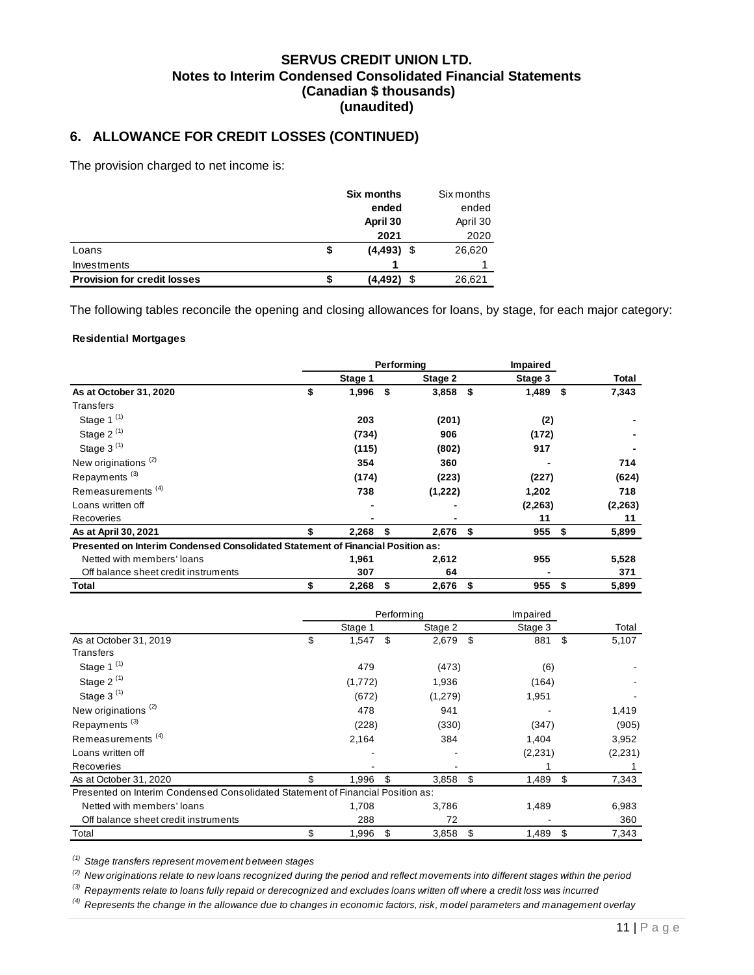# **6. ALLOWANCE FOR CREDIT LOSSES (CONTINUED)**

The provision charged to net income is:

|                                    | <b>Six months</b>  |   | Six months |
|------------------------------------|--------------------|---|------------|
|                                    | ended              |   | ended      |
|                                    | April 30           |   | April 30   |
|                                    | 2021               |   | 2020       |
| Loans                              | \$<br>$(4,493)$ \$ |   | 26,620     |
| Investments                        |                    |   |            |
| <b>Provision for credit losses</b> | (4,492)            | S | 26,621     |

The following tables reconcile the opening and closing allowances for loans, by stage, for each major category:

#### **Residential Mortgages**

|                                                                                 |             | Performing |            | <b>Impaired</b> |          |             |
|---------------------------------------------------------------------------------|-------------|------------|------------|-----------------|----------|-------------|
|                                                                                 | Stage 1     |            | Stage 2    |                 | Stage 3  | Total       |
| As at October 31, 2020                                                          | \$<br>1,996 | \$         | $3,858$ \$ |                 | 1,489    | \$<br>7,343 |
| Transfers                                                                       |             |            |            |                 |          |             |
| Stage 1 <sup>(1)</sup>                                                          | 203         |            | (201)      |                 | (2)      |             |
| Stage 2 $(1)$                                                                   | (734)       |            | 906        |                 | (172)    |             |
| Stage $3^{(1)}$                                                                 | (115)       |            | (802)      |                 | 917      |             |
| New originations <sup>(2)</sup>                                                 | 354         |            | 360        |                 |          | 714         |
| Repayments <sup>(3)</sup>                                                       | (174)       |            | (223)      |                 | (227)    | (624)       |
| Remeasurements <sup>(4)</sup>                                                   | 738         |            | (1,222)    |                 | 1,202    | 718         |
| Loans written off                                                               |             |            |            |                 | (2, 263) | (2, 263)    |
| Recoveries                                                                      |             |            |            |                 | 11       | 11          |
| As at April 30, 2021                                                            | \$<br>2,268 | \$         | $2,676$ \$ |                 | 955      | \$<br>5,899 |
| Presented on Interim Condensed Consolidated Statement of Financial Position as: |             |            |            |                 |          |             |
| Netted with members' loans                                                      | 1,961       |            | 2,612      |                 | 955      | 5,528       |
| Off balance sheet credit instruments                                            | 307         |            | 64         |                 |          | 371         |
| Total                                                                           | 2,268       | \$         | 2,676      | S               | 955      | \$<br>5,899 |

|                                                                                 |             | Performing |         | Impaired    |     |         |
|---------------------------------------------------------------------------------|-------------|------------|---------|-------------|-----|---------|
|                                                                                 | Stage 1     |            | Stage 2 | Stage 3     |     | Total   |
| As at October 31, 2019                                                          | \$<br>1,547 | \$         | 2,679   | \$<br>881   | \$. | 5,107   |
| Transfers                                                                       |             |            |         |             |     |         |
| Stage 1 <sup>(1)</sup>                                                          | 479         |            | (473)   | (6)         |     |         |
| Stage 2 $(1)$                                                                   | (1,772)     |            | 1,936   | (164)       |     |         |
| Stage $3^{(1)}$                                                                 | (672)       |            | (1,279) | 1,951       |     |         |
| New originations <sup>(2)</sup>                                                 | 478         |            | 941     |             |     | 1,419   |
| Repayments <sup>(3)</sup>                                                       | (228)       |            | (330)   | (347)       |     | (905)   |
| Remeasurements <sup>(4)</sup>                                                   | 2,164       |            | 384     | 1,404       |     | 3,952   |
| Loans written off                                                               |             |            |         | (2,231)     |     | (2,231) |
| Recoveries                                                                      |             |            |         |             |     |         |
| As at October 31, 2020                                                          | \$<br>1,996 | \$         | 3,858   | \$<br>1,489 | \$  | 7,343   |
| Presented on Interim Condensed Consolidated Statement of Financial Position as: |             |            |         |             |     |         |
| Netted with members' loans                                                      | 1,708       |            | 3,786   | 1,489       |     | 6,983   |
| Off balance sheet credit instruments                                            | 288         |            | 72      |             |     | 360     |
| Total                                                                           | \$<br>1,996 | \$         | 3,858   | \$<br>1,489 | \$  | 7,343   |

*(1) Stage transfers represent movement between stages*

*(2) New originations relate to new loans recognized during the period and reflect movements into different stages within the period*

*(3) Repayments relate to loans fully repaid or derecognized and excludes loans written off where a credit loss was incurred*

*(4) Represents the change in the allowance due to changes in economic factors, risk, model parameters and management overlay*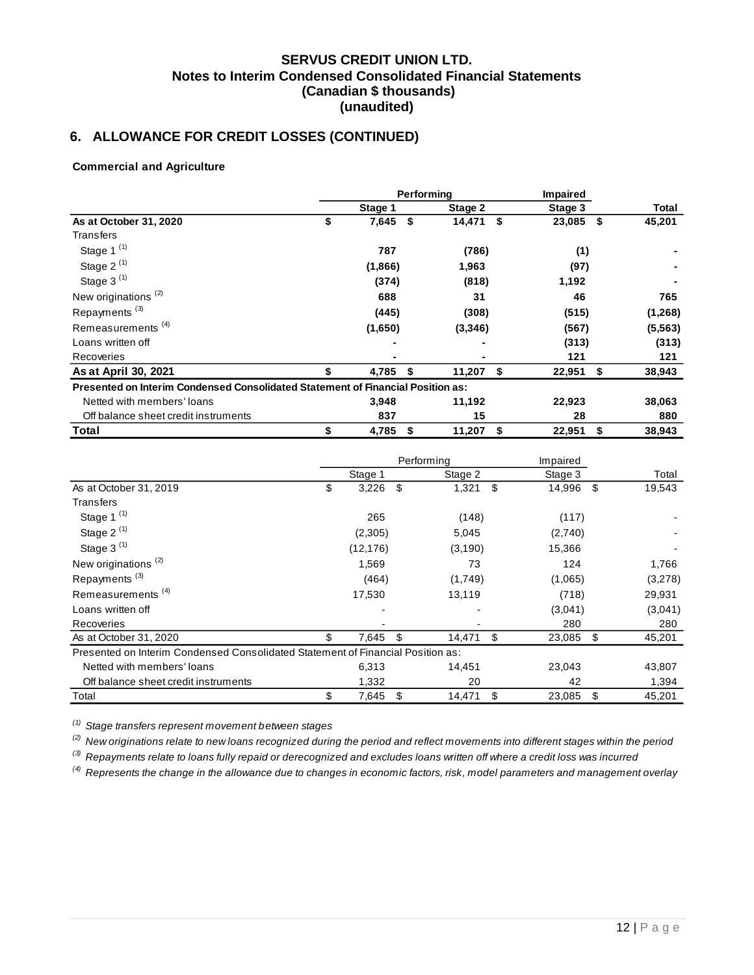# **6. ALLOWANCE FOR CREDIT LOSSES (CONTINUED)**

### **Commercial and Agriculture**

|                                                                                 |             | Performina |         | <b>Impaired</b> |         |              |
|---------------------------------------------------------------------------------|-------------|------------|---------|-----------------|---------|--------------|
|                                                                                 | Stage 1     |            | Stage 2 |                 | Stage 3 | Total        |
| As at October 31, 2020                                                          | \$<br>7,645 | \$         | 14,471  | - \$            | 23,085  | \$<br>45,201 |
| Transfers                                                                       |             |            |         |                 |         |              |
| Stage 1 $(1)$                                                                   | 787         |            | (786)   |                 | (1)     |              |
| Stage $2^{(1)}$                                                                 | (1,866)     |            | 1,963   |                 | (97)    |              |
| Stage 3 <sup>(1)</sup>                                                          | (374)       |            | (818)   |                 | 1,192   |              |
| New originations <sup>(2)</sup>                                                 | 688         |            | 31      |                 | 46      | 765          |
| Repayments <sup>(3)</sup>                                                       | (445)       |            | (308)   |                 | (515)   | (1,268)      |
| Remeasurements <sup>(4)</sup>                                                   | (1,650)     |            | (3,346) |                 | (567)   | (5, 563)     |
| Loans written off                                                               |             |            | ۰       |                 | (313)   | (313)        |
| Recoveries                                                                      |             |            |         |                 | 121     | 121          |
| As at April 30, 2021                                                            | 4,785       | \$         | 11,207  | \$              | 22,951  | \$<br>38,943 |
| Presented on Interim Condensed Consolidated Statement of Financial Position as: |             |            |         |                 |         |              |
| Netted with members' loans                                                      | 3,948       |            | 11,192  |                 | 22,923  | 38,063       |
| Off balance sheet credit instruments                                            | 837         |            | 15      |                 | 28      | 880          |
| Total                                                                           | \$<br>4,785 | \$         | 11,207  | \$              | 22,951  | \$<br>38,943 |

|                                                                                 |             | Performing   | Impaired     |     |         |
|---------------------------------------------------------------------------------|-------------|--------------|--------------|-----|---------|
|                                                                                 | Stage 1     | Stage 2      | Stage 3      |     | Total   |
| As at October 31, 2019                                                          | \$<br>3,226 | \$<br>1,321  | \$<br>14,996 | -\$ | 19,543  |
| Transfers                                                                       |             |              |              |     |         |
| Stage 1 <sup>(1)</sup>                                                          | 265         | (148)        | (117)        |     |         |
| Stage 2 $(1)$                                                                   | (2,305)     | 5,045        | (2,740)      |     |         |
| Stage 3 $(1)$                                                                   | (12, 176)   | (3,190)      | 15,366       |     |         |
| New originations <sup>(2)</sup>                                                 | 1,569       | 73           | 124          |     | 1,766   |
| Repayments <sup>(3)</sup>                                                       | (464)       | (1,749)      | (1,065)      |     | (3,278) |
| Remeasurements <sup>(4)</sup>                                                   | 17,530      | 13,119       | (718)        |     | 29,931  |
| Loans written off                                                               |             |              | (3,041)      |     | (3,041) |
| Recoveries                                                                      |             |              | 280          |     | 280     |
| As at October 31, 2020                                                          | \$<br>7,645 | 14,471       | \$<br>23,085 | \$  | 45,201  |
| Presented on Interim Condensed Consolidated Statement of Financial Position as: |             |              |              |     |         |
| Netted with members' loans                                                      | 6,313       | 14,451       | 23,043       |     | 43,807  |
| Off balance sheet credit instruments                                            | 1,332       | 20           | 42           |     | 1,394   |
| Total                                                                           | \$<br>7,645 | \$<br>14,471 | \$<br>23,085 | \$  | 45,201  |

*(1) Stage transfers represent movement between stages*

*(2) New originations relate to new loans recognized during the period and reflect movements into different stages within the period*

*(3) Repayments relate to loans fully repaid or derecognized and excludes loans written off where a credit loss was incurred*

*(4) Represents the change in the allowance due to changes in economic factors, risk, model parameters and management overlay*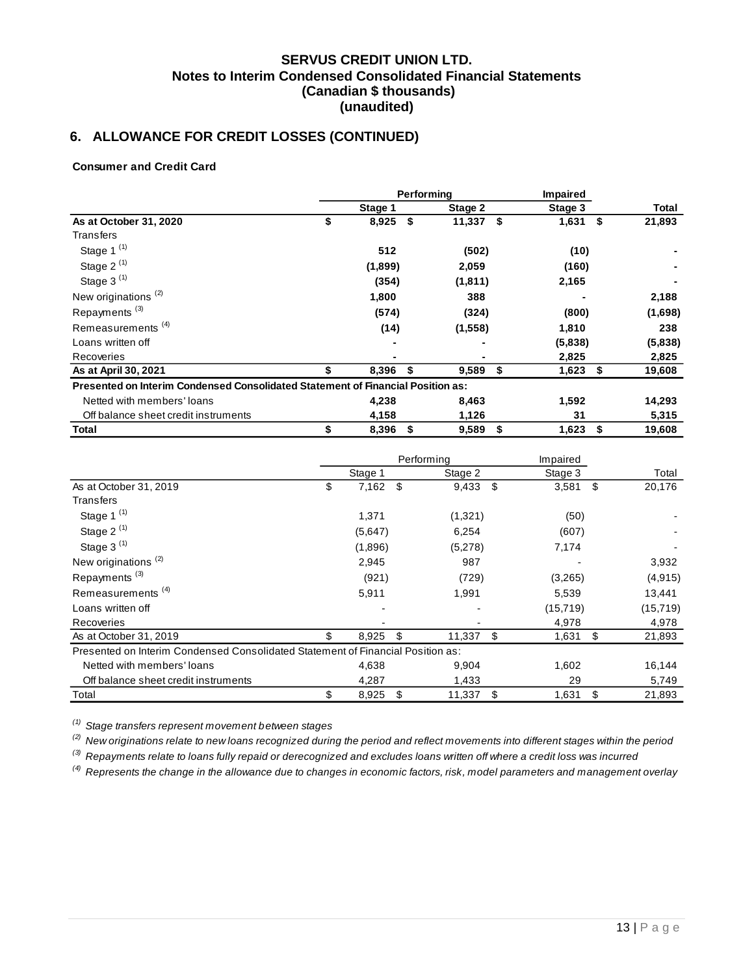# **6. ALLOWANCE FOR CREDIT LOSSES (CONTINUED)**

### **Consumer and Credit Card**

|                                                                                 |    | Performina | <b>Impaired</b> |         |    |         |              |
|---------------------------------------------------------------------------------|----|------------|-----------------|---------|----|---------|--------------|
|                                                                                 |    | Stage 1    |                 | Stage 2 |    | Stage 3 | Total        |
| As at October 31, 2020                                                          | \$ | 8,925      | \$              | 11,337  | \$ | 1,631   | \$<br>21,893 |
| Transfers                                                                       |    |            |                 |         |    |         |              |
| Stage 1 $(1)$                                                                   |    | 512        |                 | (502)   |    | (10)    |              |
| Stage $2^{(1)}$                                                                 |    | (1,899)    |                 | 2,059   |    | (160)   |              |
| Stage 3 <sup>(1)</sup>                                                          |    | (354)      |                 | (1,811) |    | 2,165   |              |
| New originations <sup>(2)</sup>                                                 |    | 1,800      |                 | 388     |    |         | 2,188        |
| Repayments <sup>(3)</sup>                                                       |    | (574)      |                 | (324)   |    | (800)   | (1,698)      |
| Remeasurements <sup>(4)</sup>                                                   |    | (14)       |                 | (1,558) |    | 1,810   | 238          |
| Loans written off                                                               |    |            |                 |         |    | (5,838) | (5,838)      |
| Recoveries                                                                      |    |            |                 |         |    | 2,825   | 2,825        |
| As at April 30, 2021                                                            |    | 8,396      | \$              | 9,589   | \$ | 1,623   | \$<br>19,608 |
| Presented on Interim Condensed Consolidated Statement of Financial Position as: |    |            |                 |         |    |         |              |
| Netted with members' loans                                                      |    | 4,238      |                 | 8,463   |    | 1,592   | 14,293       |
| Off balance sheet credit instruments                                            |    | 4,158      |                 | 1,126   |    | 31      | 5,315        |
| Total                                                                           | \$ | 8,396      | \$              | 9,589   | \$ | 1,623   | \$<br>19,608 |

|                                                                                 |             | Performing   |     | Impaired  |              |
|---------------------------------------------------------------------------------|-------------|--------------|-----|-----------|--------------|
|                                                                                 | Stage 1     | Stage 2      |     | Stage 3   | Total        |
| As at October 31, 2019                                                          | \$<br>7,162 | \$<br>9,433  | -\$ | 3,581     | \$<br>20,176 |
| Transfers                                                                       |             |              |     |           |              |
| Stage 1 $(1)$                                                                   | 1,371       | (1,321)      |     | (50)      |              |
| Stage 2 $(1)$                                                                   | (5,647)     | 6,254        |     | (607)     |              |
| Stage 3 $(1)$                                                                   | (1,896)     | (5,278)      |     | 7,174     |              |
| New originations <sup>(2)</sup>                                                 | 2,945       | 987          |     |           | 3,932        |
| Repayments <sup>(3)</sup>                                                       | (921)       | (729)        |     | (3,265)   | (4, 915)     |
| Remeasurements <sup>(4)</sup>                                                   | 5,911       | 1,991        |     | 5,539     | 13,441       |
| Loans written off                                                               |             |              |     | (15, 719) | (15, 719)    |
| Recoveries                                                                      |             |              |     | 4,978     | 4,978        |
| As at October 31, 2019                                                          | \$<br>8,925 | 11,337       | \$  | 1,631     | \$<br>21,893 |
| Presented on Interim Condensed Consolidated Statement of Financial Position as: |             |              |     |           |              |
| Netted with members' loans                                                      | 4,638       | 9,904        |     | 1,602     | 16,144       |
| Off balance sheet credit instruments                                            | 4,287       | 1,433        |     | 29        | 5,749        |
| Total                                                                           | \$<br>8,925 | \$<br>11,337 | \$  | 1,631     | \$<br>21,893 |

*(1) Stage transfers represent movement between stages*

*(2) New originations relate to new loans recognized during the period and reflect movements into different stages within the period*

*(3) Repayments relate to loans fully repaid or derecognized and excludes loans written off where a credit loss was incurred*

*(4) Represents the change in the allowance due to changes in economic factors, risk, model parameters and management overlay*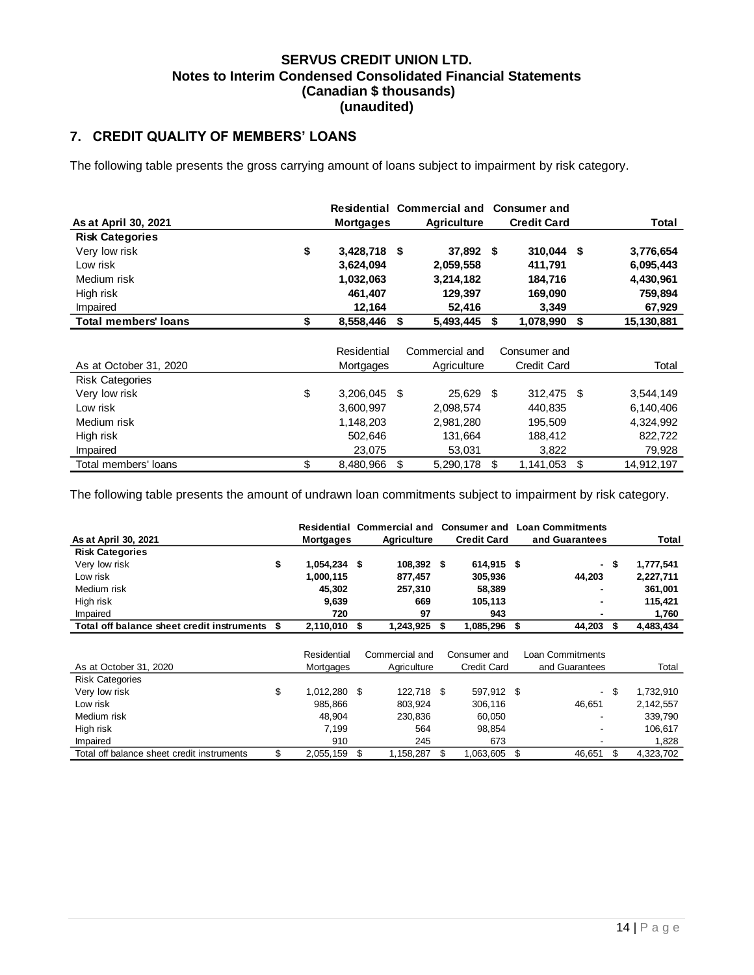# <span id="page-14-0"></span>**7. CREDIT QUALITY OF MEMBERS' LOANS**

The following table presents the gross carrying amount of loans subject to impairment by risk category.

|                             |                    |     | Residential Commercial and Consumer and |    |                    |                  |
|-----------------------------|--------------------|-----|-----------------------------------------|----|--------------------|------------------|
| As at April 30, 2021        | <b>Mortgages</b>   |     | <b>Agriculture</b>                      |    | <b>Credit Card</b> | Total            |
| <b>Risk Categories</b>      |                    |     |                                         |    |                    |                  |
| Very low risk               | \$<br>3,428,718 \$ |     | 37,892 \$                               |    | $310,044$ \$       | 3,776,654        |
| Low risk                    | 3,624,094          |     | 2,059,558                               |    | 411,791            | 6,095,443        |
| Medium risk                 | 1,032,063          |     | 3,214,182                               |    | 184,716            | 4,430,961        |
| High risk                   | 461,407            |     | 129,397                                 |    | 169,090            | 759,894          |
| Impaired                    | 12,164             |     | 52,416                                  |    | 3,349              | 67,929           |
| <b>Total members' loans</b> | \$<br>8,558,446    | \$  | 5,493,445                               | Ŝ. | 1,078,990          | \$<br>15,130,881 |
|                             |                    |     |                                         |    |                    |                  |
|                             | Residential        |     | Commercial and                          |    | Consumer and       |                  |
| As at October 31, 2020      | Mortgages          |     | Agriculture                             |    | <b>Credit Card</b> | Total            |
| <b>Risk Categories</b>      |                    |     |                                         |    |                    |                  |
| Very low risk               | \$<br>3,206,045    | -\$ | 25,629 \$                               |    | 312,475 \$         | 3,544,149        |
| Low risk                    | 3,600,997          |     | 2,098,574                               |    | 440,835            | 6,140,406        |
| Medium risk                 | 1,148,203          |     | 2,981,280                               |    | 195,509            | 4,324,992        |
| High risk                   | 502,646            |     | 131,664                                 |    | 188,412            | 822,722          |
| Impaired                    | 23,075             |     | 53,031                                  |    | 3,822              | 79,928           |
| Total members' loans        | \$<br>8,480,966    | \$  | 5,290,178                               | \$ | 1,141,053          | \$<br>14,912,197 |

The following table presents the amount of undrawn loan commitments subject to impairment by risk category.

| As at April 30, 2021                       |    | <b>Mortgages</b> | Residential Commercial and<br><b>Agriculture</b> | <b>Consumer and</b><br><b>Credit Card</b> |    | <b>Loan Commitments</b><br>and Guarantees |        | Total     |
|--------------------------------------------|----|------------------|--------------------------------------------------|-------------------------------------------|----|-------------------------------------------|--------|-----------|
| <b>Risk Categories</b>                     |    |                  |                                                  |                                           |    |                                           |        |           |
| Very low risk                              | \$ | 1,054,234 \$     | 108,392 \$                                       | 614,915 \$                                |    |                                           | - \$   | 1,777,541 |
| Low risk                                   |    | 1,000,115        | 877,457                                          | 305,936                                   |    | 44,203                                    |        | 2,227,711 |
| Medium risk                                |    | 45,302           | 257,310                                          | 58,389                                    |    |                                           |        | 361,001   |
| High risk                                  |    | 9,639            | 669                                              | 105,113                                   |    |                                           |        | 115,421   |
| Impaired                                   |    | 720              | 97                                               | 943                                       |    |                                           |        | 1,760     |
| Total off balance sheet credit instruments | S  | 2,110,010        | \$<br>1,243,925                                  | \$<br>1,085,296                           | S  | 44,203                                    | \$     | 4,483,434 |
|                                            |    |                  |                                                  |                                           |    |                                           |        |           |
|                                            |    | Residential      | Commercial and                                   | Consumer and                              |    | Loan Commitments                          |        |           |
| As at October 31, 2020                     |    | Mortgages        | Agriculture                                      | <b>Credit Card</b>                        |    | and Guarantees                            |        | Total     |
| <b>Risk Categories</b>                     |    |                  |                                                  |                                           |    |                                           |        |           |
| Very low risk                              | \$ | 1,012,280 \$     | 122,718 \$                                       | 597,912 \$                                |    |                                           | $-$ \$ | 1,732,910 |
| Low risk                                   |    | 985.866          | 803,924                                          | 306,116                                   |    | 46,651                                    |        | 2,142,557 |
| Medium risk                                |    | 48,904           | 230,836                                          | 60,050                                    |    |                                           |        | 339,790   |
| High risk                                  |    | 7,199            | 564                                              | 98,854                                    |    |                                           |        | 106,617   |
| Impaired                                   |    | 910              | 245                                              | 673                                       |    |                                           |        | 1,828     |
| Total off balance sheet credit instruments | \$ | 2,055,159        | \$<br>1,158,287                                  | \$<br>1,063,605                           | \$ | 46,651                                    | \$     | 4,323,702 |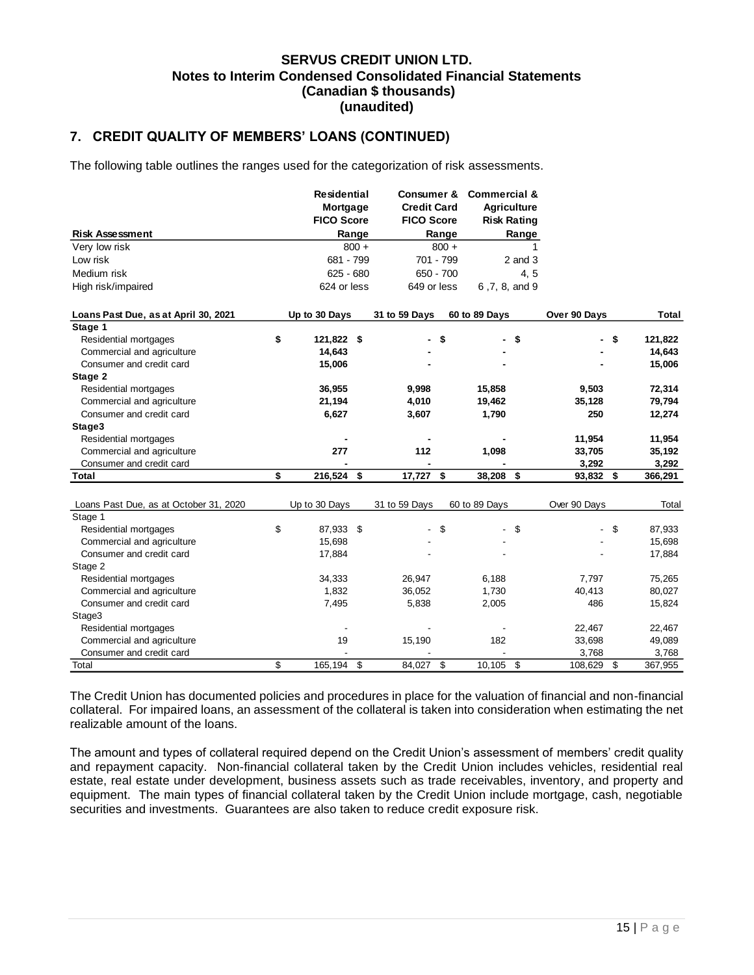# **7. CREDIT QUALITY OF MEMBERS' LOANS (CONTINUED)**

The following table outlines the ranges used for the categorization of risk assessments.

|                                        | <b>Residential</b> |         |                    | <b>Consumer &amp;</b> |                    | <b>Commercial &amp;</b> |              |               |
|----------------------------------------|--------------------|---------|--------------------|-----------------------|--------------------|-------------------------|--------------|---------------|
|                                        | Mortgage           |         | <b>Credit Card</b> |                       | <b>Agriculture</b> |                         |              |               |
|                                        | <b>FICO Score</b>  |         | <b>FICO Score</b>  |                       |                    | <b>Risk Rating</b>      |              |               |
| <b>Risk Assessment</b>                 |                    | Range   |                    | Range                 |                    | Range                   |              |               |
| Very low risk                          |                    | $800 +$ |                    | $800 +$               |                    | 1                       |              |               |
| Low risk                               | 681 - 799          |         |                    | 701 - 799             |                    | $2$ and $3$             |              |               |
| Medium risk                            | $625 - 680$        |         |                    | $650 - 700$           |                    | 4, 5                    |              |               |
| High risk/impaired                     | 624 or less        |         | 649 or less        |                       | 6,7,8, and 9       |                         |              |               |
| Loans Past Due, as at April 30, 2021   | Up to 30 Days      |         | 31 to 59 Days      |                       | 60 to 89 Days      |                         | Over 90 Days | Total         |
| Stage 1                                |                    |         |                    |                       |                    |                         |              |               |
| Residential mortgages<br>\$            | 121,822 \$         |         |                    | \$                    |                    | \$                      |              | \$<br>121,822 |
| Commercial and agriculture             | 14,643             |         |                    |                       |                    |                         |              | 14,643        |
| Consumer and credit card               | 15,006             |         |                    |                       |                    |                         |              | 15,006        |
| Stage 2                                |                    |         |                    |                       |                    |                         |              |               |
| Residential mortgages                  | 36,955             |         | 9,998              |                       | 15,858             |                         | 9,503        | 72,314        |
| Commercial and agriculture             | 21,194             |         | 4,010              |                       | 19,462             |                         | 35,128       | 79,794        |
| Consumer and credit card               | 6,627              |         | 3,607              |                       | 1,790              |                         | 250          | 12,274        |
| Stage3                                 |                    |         |                    |                       |                    |                         |              |               |
| Residential mortgages                  |                    |         |                    |                       |                    |                         | 11,954       | 11,954        |
| Commercial and agriculture             | 277                |         | 112                |                       | 1,098              |                         | 33,705       | 35,192        |
| Consumer and credit card               |                    |         |                    |                       |                    |                         | 3,292        | 3,292         |
| \$<br><b>Total</b>                     | 216,524            | \$      | 17,727             | \$                    | 38,208             | \$                      | 93,832       | \$<br>366,291 |
|                                        |                    |         |                    |                       |                    |                         |              |               |
| Loans Past Due, as at October 31, 2020 | Up to 30 Days      |         | 31 to 59 Days      |                       | 60 to 89 Days      |                         | Over 90 Days | Total         |
| Stage 1                                |                    |         |                    |                       |                    |                         |              |               |
| \$<br>Residential mortgages            | 87,933             | \$      |                    | \$                    |                    | \$                      |              | \$<br>87,933  |
| Commercial and agriculture             | 15,698             |         |                    |                       |                    |                         |              | 15,698        |
| Consumer and credit card               | 17,884             |         |                    |                       |                    |                         |              | 17,884        |
| Stage 2                                |                    |         |                    |                       |                    |                         |              |               |
| Residential mortgages                  | 34,333             |         | 26,947             |                       | 6,188              |                         | 7,797        | 75,265        |
| Commercial and agriculture             | 1,832              |         | 36,052             |                       | 1,730              |                         | 40,413       | 80,027        |
| Consumer and credit card               | 7,495              |         | 5,838              |                       | 2,005              |                         | 486          | 15,824        |
| Stage3                                 |                    |         |                    |                       |                    |                         |              |               |
| Residential mortgages                  |                    |         |                    |                       |                    |                         | 22,467       | 22,467        |
| Commercial and agriculture             | 19                 |         | 15,190             |                       | 182                |                         | 33,698       | 49,089        |
| Consumer and credit card               |                    |         |                    |                       |                    |                         | 3,768        | 3,768         |
| \$<br>Total                            | 165,194            | \$      | 84,027             | \$                    | 10,105 \$          |                         | 108,629      | \$<br>367,955 |

The Credit Union has documented policies and procedures in place for the valuation of financial and non-financial collateral. For impaired loans, an assessment of the collateral is taken into consideration when estimating the net realizable amount of the loans.

The amount and types of collateral required depend on the Credit Union's assessment of members' credit quality and repayment capacity. Non-financial collateral taken by the Credit Union includes vehicles, residential real estate, real estate under development, business assets such as trade receivables, inventory, and property and equipment. The main types of financial collateral taken by the Credit Union include mortgage, cash, negotiable securities and investments. Guarantees are also taken to reduce credit exposure risk.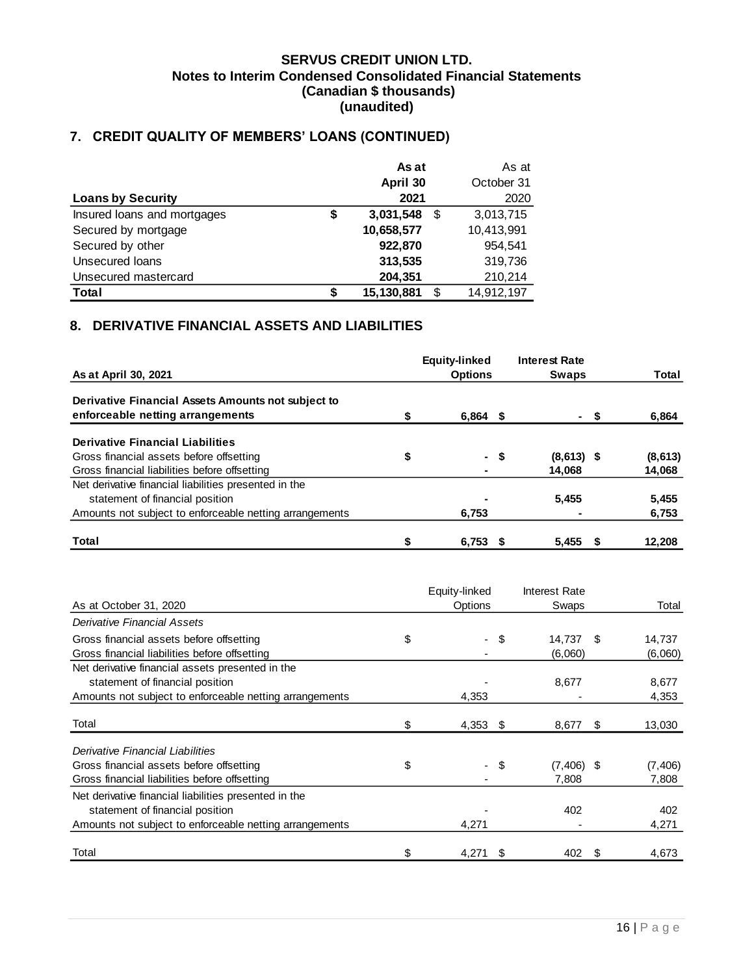# **7. CREDIT QUALITY OF MEMBERS' LOANS (CONTINUED)**

|                             |    | As at      | As at           |
|-----------------------------|----|------------|-----------------|
|                             |    | April 30   | October 31      |
| <b>Loans by Security</b>    |    | 2021       | 2020            |
| Insured loans and mortgages | \$ | 3,031,548  | \$<br>3,013,715 |
| Secured by mortgage         |    | 10,658,577 | 10,413,991      |
| Secured by other            |    | 922,870    | 954.541         |
| Unsecured Ioans             |    | 313,535    | 319,736         |
| Unsecured mastercard        |    | 204,351    | 210,214         |
| <b>Total</b>                | S  | 15,130,881 | 14,912,197      |

# <span id="page-16-0"></span>**8. DERIVATIVE FINANCIAL ASSETS AND LIABILITIES**

|                                                         | <b>Equity-linked</b> |      | <b>Interest Rate</b> |          |
|---------------------------------------------------------|----------------------|------|----------------------|----------|
| As at April 30, 2021                                    | <b>Options</b>       |      | Swaps                | Total    |
| Derivative Financial Assets Amounts not subject to      |                      |      |                      |          |
| enforceable netting arrangements                        | $6,864$ \$           |      |                      | 6,864    |
| <b>Derivative Financial Liabilities</b>                 |                      |      |                      |          |
| Gross financial assets before offsetting                | \$                   | - \$ | $(8,613)$ \$         | (8, 613) |
| Gross financial liabilities before offsetting           |                      |      | 14.068               | 14,068   |
| Net derivative financial liabilities presented in the   |                      |      |                      |          |
| statement of financial position                         |                      |      | 5.455                | 5,455    |
| Amounts not subject to enforceable netting arrangements | 6,753                |      |                      | 6,753    |
| Total                                                   | 6,753                |      | 5.455                | 12,208   |

|                                                         | Equity-linked                  |    | <b>Interest Rate</b> |     |          |
|---------------------------------------------------------|--------------------------------|----|----------------------|-----|----------|
| As at October 31, 2020                                  | Options                        |    | Swaps                |     | Total    |
| Derivative Financial Assets                             |                                |    |                      |     |          |
| Gross financial assets before offsetting                | \$<br>$\overline{\phantom{a}}$ | \$ | 14.737               | \$. | 14,737   |
| Gross financial liabilities before offsetting           |                                |    | (6,060)              |     | (6,060)  |
| Net derivative financial assets presented in the        |                                |    |                      |     |          |
| statement of financial position                         |                                |    | 8,677                |     | 8,677    |
| Amounts not subject to enforceable netting arrangements | 4,353                          |    |                      |     | 4,353    |
|                                                         |                                |    |                      |     |          |
| Total                                                   | \$<br>$4,353$ \$               |    | 8,677                | \$  | 13,030   |
| Derivative Financial Liabilities                        |                                |    |                      |     |          |
| Gross financial assets before offsetting                | \$<br>$\sim$                   | \$ | $(7, 406)$ \$        |     | (7, 406) |
| Gross financial liabilities before offsetting           |                                |    | 7,808                |     | 7,808    |
| Net derivative financial liabilities presented in the   |                                |    |                      |     |          |
| statement of financial position                         |                                |    | 402                  |     | 402      |
| Amounts not subject to enforceable netting arrangements | 4,271                          |    |                      |     | 4,271    |
|                                                         |                                |    |                      |     |          |
| Total                                                   | \$<br>4,271                    | S  | 402                  | S   | 4,673    |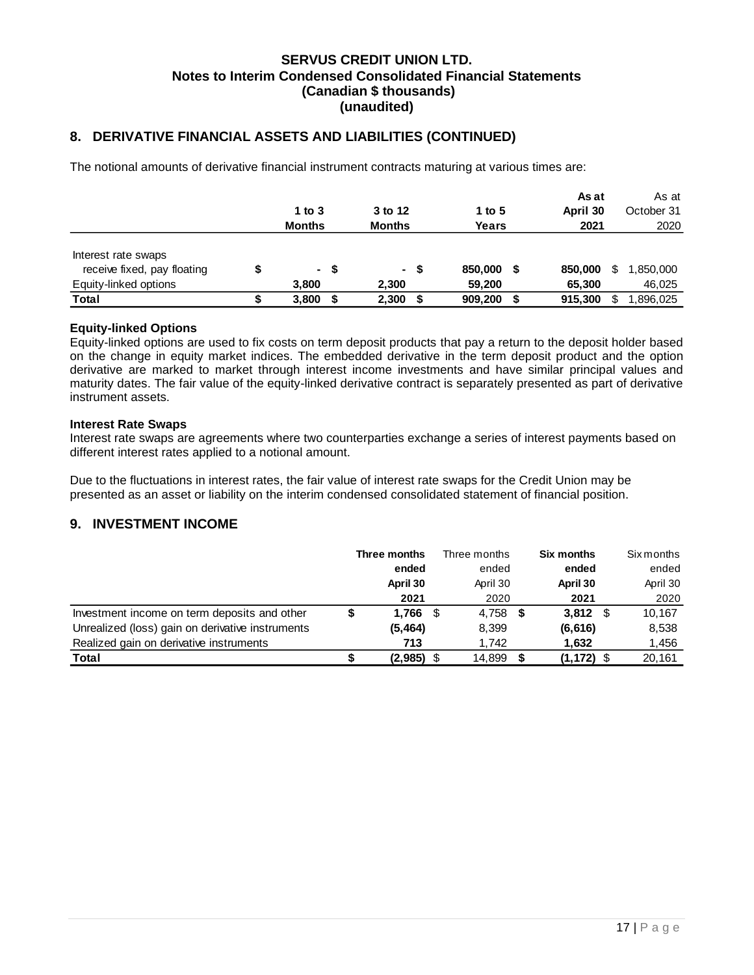# **8. DERIVATIVE FINANCIAL ASSETS AND LIABILITIES (CONTINUED)**

The notional amounts of derivative financial instrument contracts maturing at various times are:

|                             |               |   |               |      |         |   | As at    |   | As at      |
|-----------------------------|---------------|---|---------------|------|---------|---|----------|---|------------|
|                             | 1 to $3$      |   | 3 to 12       |      | 1 to 5  |   | April 30 |   | October 31 |
|                             | <b>Months</b> |   | <b>Months</b> |      | Years   |   | 2021     |   | 2020       |
|                             |               |   |               |      |         |   |          |   |            |
| Interest rate swaps         |               |   |               |      |         |   |          |   |            |
| receive fixed, pay floating | - \$          |   |               | - \$ | 850,000 | S | 850,000  | S | 1,850,000  |
| Equity-linked options       | 3,800         |   | 2,300         |      | 59.200  |   | 65,300   |   | 46,025     |
| Total                       | 3,800         | S | 2,300         |      | 909,200 | S | 915.300  | S | .896,025   |

### **Equity-linked Options**

Equity-linked options are used to fix costs on term deposit products that pay a return to the deposit holder based on the change in equity market indices. The embedded derivative in the term deposit product and the option derivative are marked to market through interest income investments and have similar principal values and maturity dates. The fair value of the equity-linked derivative contract is separately presented as part of derivative instrument assets.

### **Interest Rate Swaps**

Interest rate swaps are agreements where two counterparties exchange a series of interest payments based on different interest rates applied to a notional amount.

Due to the fluctuations in interest rates, the fair value of interest rate swaps for the Credit Union may be presented as an asset or liability on the interim condensed consolidated statement of financial position.

### <span id="page-17-0"></span>**9. INVESTMENT INCOME**

|                                                  | Three months | Three months | <b>Six months</b> |      | <b>Six months</b> |
|--------------------------------------------------|--------------|--------------|-------------------|------|-------------------|
|                                                  | ended        | ended        | ended             |      | ended             |
|                                                  | April 30     | April 30     | April 30          |      | April 30          |
|                                                  | 2021         | 2020         | 2021              |      | 2020              |
| Investment income on term deposits and other     | $1.766$ \$   | 4.758        | 3.812             | - \$ | 10.167            |
| Unrealized (loss) gain on derivative instruments | (5, 464)     | 8,399        | (6, 616)          |      | 8,538             |
| Realized gain on derivative instruments          | 713          | 1.742        | 1,632             |      | 1,456             |
| Total                                            | $(2,985)$ \$ | 14,899       | (1, 172)          |      | 20,161            |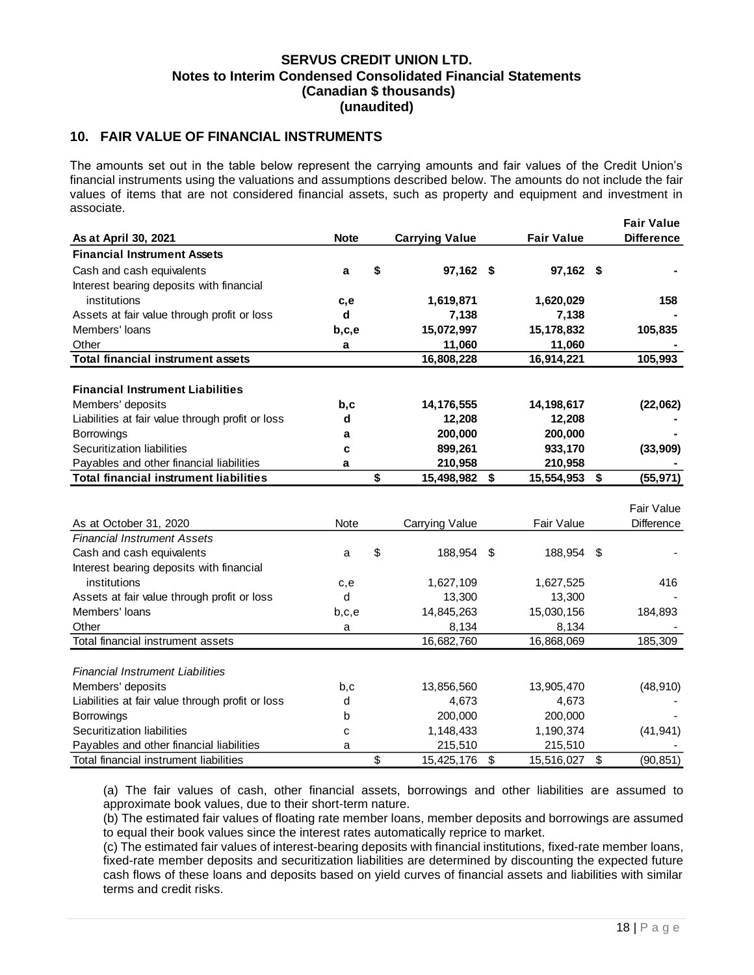## <span id="page-18-0"></span>**10. FAIR VALUE OF FINANCIAL INSTRUMENTS**

The amounts set out in the table below represent the carrying amounts and fair values of the Credit Union's financial instruments using the valuations and assumptions described below. The amounts do not include the fair values of items that are not considered financial assets, such as property and equipment and investment in associate.

|                                                                                                                                                                                                 |             |    |                       |      |                   |    | <b>Fair Value</b> |  |  |
|-------------------------------------------------------------------------------------------------------------------------------------------------------------------------------------------------|-------------|----|-----------------------|------|-------------------|----|-------------------|--|--|
| As at April 30, 2021                                                                                                                                                                            | <b>Note</b> |    | <b>Carrying Value</b> |      | <b>Fair Value</b> |    | <b>Difference</b> |  |  |
| <b>Financial Instrument Assets</b>                                                                                                                                                              |             |    |                       |      |                   |    |                   |  |  |
| Cash and cash equivalents                                                                                                                                                                       | a           | \$ | 97,162 \$             |      | 97,162 \$         |    |                   |  |  |
| Interest bearing deposits with financial                                                                                                                                                        |             |    |                       |      |                   |    |                   |  |  |
| institutions                                                                                                                                                                                    | c,e         |    | 1,619,871             |      | 1,620,029         |    | 158               |  |  |
| Assets at fair value through profit or loss                                                                                                                                                     | d           |    | 7,138                 |      | 7,138             |    |                   |  |  |
| Members' loans                                                                                                                                                                                  | b,c,e       |    | 15,072,997            |      | 15,178,832        |    | 105,835           |  |  |
| Other                                                                                                                                                                                           | a           |    | 11,060                |      | 11,060            |    |                   |  |  |
| <b>Total financial instrument assets</b>                                                                                                                                                        |             |    | 16,808,228            |      | 16,914,221        |    | 105,993           |  |  |
|                                                                                                                                                                                                 |             |    |                       |      |                   |    |                   |  |  |
| <b>Financial Instrument Liabilities</b>                                                                                                                                                         |             |    |                       |      |                   |    |                   |  |  |
| Members' deposits                                                                                                                                                                               | b,c         |    | 14,176,555            |      | 14,198,617        |    | (22,062)          |  |  |
| Liabilities at fair value through profit or loss                                                                                                                                                | d           |    | 12,208                |      | 12,208            |    |                   |  |  |
| <b>Borrowings</b>                                                                                                                                                                               | a           |    | 200,000               |      | 200,000           |    |                   |  |  |
| Securitization liabilities                                                                                                                                                                      | C           |    | 899,261               |      | 933,170           |    | (33,909)          |  |  |
| Payables and other financial liabilities                                                                                                                                                        | a           |    | 210,958               |      | 210,958           |    |                   |  |  |
| <b>Total financial instrument liabilities</b>                                                                                                                                                   |             | \$ | 15,498,982            | \$   | 15,554,953        | \$ | (55, 971)         |  |  |
|                                                                                                                                                                                                 |             |    |                       |      |                   |    |                   |  |  |
|                                                                                                                                                                                                 |             |    |                       |      |                   |    | Fair Value        |  |  |
| As at October 31, 2020                                                                                                                                                                          | Note        |    | Carrying Value        |      | Fair Value        |    | <b>Difference</b> |  |  |
| <b>Financial Instrument Assets</b>                                                                                                                                                              |             |    |                       |      |                   |    |                   |  |  |
| Cash and cash equivalents                                                                                                                                                                       | a           | \$ | 188,954               | - \$ | 188,954 \$        |    |                   |  |  |
| Interest bearing deposits with financial                                                                                                                                                        |             |    |                       |      |                   |    |                   |  |  |
| institutions                                                                                                                                                                                    | c,e         |    | 1,627,109             |      | 1,627,525         |    | 416               |  |  |
| Assets at fair value through profit or loss                                                                                                                                                     | d           |    | 13,300                |      | 13,300            |    |                   |  |  |
| Members' loans                                                                                                                                                                                  | b,c,e       |    | 14,845,263            |      | 15,030,156        |    | 184,893           |  |  |
| Other                                                                                                                                                                                           | а           |    | 8,134                 |      | 8,134             |    |                   |  |  |
| Total financial instrument assets                                                                                                                                                               |             |    | 16,682,760            |      | 16,868,069        |    | 185,309           |  |  |
|                                                                                                                                                                                                 |             |    |                       |      |                   |    |                   |  |  |
| Financial Instrument Liabilities                                                                                                                                                                |             |    |                       |      |                   |    |                   |  |  |
| Members' deposits                                                                                                                                                                               | b,c         |    | 13,856,560            |      | 13,905,470        |    | (48, 910)         |  |  |
| Liabilities at fair value through profit or loss                                                                                                                                                | d           |    | 4,673                 |      | 4,673             |    |                   |  |  |
| Borrowings                                                                                                                                                                                      | b           |    | 200,000               |      | 200,000           |    |                   |  |  |
| Securitization liabilities                                                                                                                                                                      | C           |    | 1,148,433             |      | 1,190,374         |    | (41, 941)         |  |  |
| Payables and other financial liabilities                                                                                                                                                        | a           |    | 215,510               |      | 215,510           |    |                   |  |  |
| Total financial instrument liabilities                                                                                                                                                          |             | \$ | 15,425,176            | \$   | 15,516,027        | \$ | (90, 851)         |  |  |
|                                                                                                                                                                                                 |             |    |                       |      |                   |    |                   |  |  |
| (a) The fair values of cash, other financial assets, borrowings and other liabilities are assumed to                                                                                            |             |    |                       |      |                   |    |                   |  |  |
| approximate book values, due to their short-term nature.                                                                                                                                        |             |    |                       |      |                   |    |                   |  |  |
| (b) The estimated fair values of floating rate member loans, member deposits and borrowings are assumed<br>to equal their book values since the interest rates automatically reprice to market. |             |    |                       |      |                   |    |                   |  |  |
| (c) The estimated fair values of interest-bearing deposits with financial institutions, fixed-rate member loans,                                                                                |             |    |                       |      |                   |    |                   |  |  |
| fixed-rate member deposits and securitization liabilities are determined by discounting the expected future                                                                                     |             |    |                       |      |                   |    |                   |  |  |
| cash flows of these loans and deposits based on yield curves of financial assets and liabilities with similar                                                                                   |             |    |                       |      |                   |    |                   |  |  |
| terms and credit risks.                                                                                                                                                                         |             |    |                       |      |                   |    |                   |  |  |